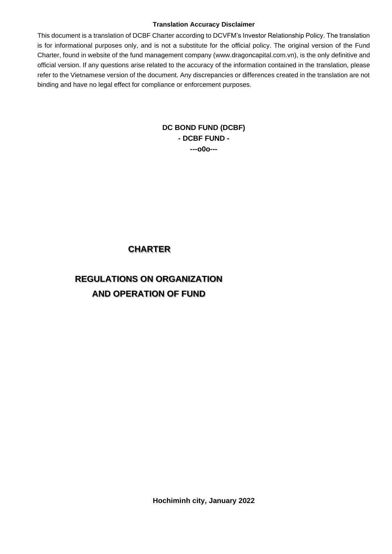#### **Translation Accuracy Disclaimer**

This document is a translation of DCBF Charter according to DCVFM's Investor Relationship Policy. The translation is for informational purposes only, and is not a substitute for the official policy. The original version of the Fund Charter, found in website of the fund management company (www.dragoncapital.com.vn), is the only definitive and official version. If any questions arise related to the accuracy of the information contained in the translation, please refer to the Vietnamese version of the document. Any discrepancies or differences created in the translation are not binding and have no legal effect for compliance or enforcement purposes.

## **DC BOND FUND (DCBF) - DCBF FUND - ---o0o---**

## **CHARTER**

# **REGULATIONS ON ORGANIZATION AND OPERATION OF FUND**

**Hochiminh city, January 2022**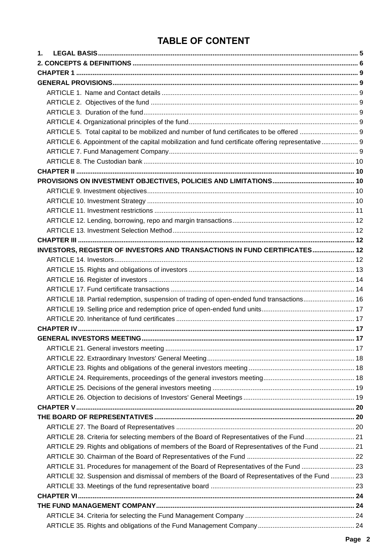# **TABLE OF CONTENT**

| 1.                                                                                                |  |
|---------------------------------------------------------------------------------------------------|--|
|                                                                                                   |  |
|                                                                                                   |  |
|                                                                                                   |  |
|                                                                                                   |  |
|                                                                                                   |  |
|                                                                                                   |  |
|                                                                                                   |  |
|                                                                                                   |  |
| ARTICLE 6. Appointment of the capital mobilization and fund certificate offering representative 9 |  |
|                                                                                                   |  |
|                                                                                                   |  |
|                                                                                                   |  |
|                                                                                                   |  |
|                                                                                                   |  |
|                                                                                                   |  |
|                                                                                                   |  |
|                                                                                                   |  |
|                                                                                                   |  |
|                                                                                                   |  |
| INVESTORS, REGISTER OF INVESTORS AND TRANSACTIONS IN FUND CERTIFICATES 12                         |  |
|                                                                                                   |  |
|                                                                                                   |  |
|                                                                                                   |  |
|                                                                                                   |  |
| ARTICLE 18. Partial redemption, suspension of trading of open-ended fund transactions 16          |  |
|                                                                                                   |  |
|                                                                                                   |  |
|                                                                                                   |  |
|                                                                                                   |  |
|                                                                                                   |  |
|                                                                                                   |  |
|                                                                                                   |  |
|                                                                                                   |  |
|                                                                                                   |  |
|                                                                                                   |  |
|                                                                                                   |  |
|                                                                                                   |  |
|                                                                                                   |  |
| ARTICLE 28. Criteria for selecting members of the Board of Representatives of the Fund 21         |  |
| ARTICLE 29. Rights and obligations of members of the Board of Representatives of the Fund  21     |  |
|                                                                                                   |  |
| ARTICLE 31. Procedures for management of the Board of Representatives of the Fund  23             |  |
| ARTICLE 32. Suspension and dismissal of members of the Board of Representatives of the Fund  23   |  |
|                                                                                                   |  |
|                                                                                                   |  |
|                                                                                                   |  |
|                                                                                                   |  |
|                                                                                                   |  |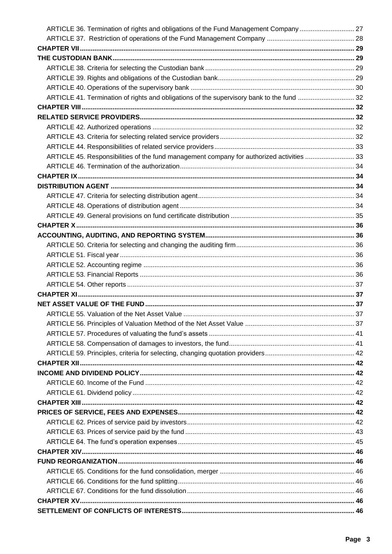| ARTICLE 36. Termination of rights and obligations of the Fund Management Company  27      |  |
|-------------------------------------------------------------------------------------------|--|
|                                                                                           |  |
|                                                                                           |  |
|                                                                                           |  |
|                                                                                           |  |
|                                                                                           |  |
|                                                                                           |  |
| ARTICLE 41. Termination of rights and obligations of the supervisory bank to the fund  32 |  |
|                                                                                           |  |
|                                                                                           |  |
|                                                                                           |  |
|                                                                                           |  |
|                                                                                           |  |
| ARTICLE 45. Responsibilities of the fund management company for authorized activities  33 |  |
|                                                                                           |  |
|                                                                                           |  |
|                                                                                           |  |
|                                                                                           |  |
|                                                                                           |  |
|                                                                                           |  |
|                                                                                           |  |
|                                                                                           |  |
|                                                                                           |  |
|                                                                                           |  |
|                                                                                           |  |
|                                                                                           |  |
|                                                                                           |  |
|                                                                                           |  |
|                                                                                           |  |
|                                                                                           |  |
|                                                                                           |  |
|                                                                                           |  |
|                                                                                           |  |
|                                                                                           |  |
|                                                                                           |  |
|                                                                                           |  |
|                                                                                           |  |
|                                                                                           |  |
|                                                                                           |  |
|                                                                                           |  |
|                                                                                           |  |
|                                                                                           |  |
|                                                                                           |  |
|                                                                                           |  |
|                                                                                           |  |
|                                                                                           |  |
|                                                                                           |  |
|                                                                                           |  |
|                                                                                           |  |
|                                                                                           |  |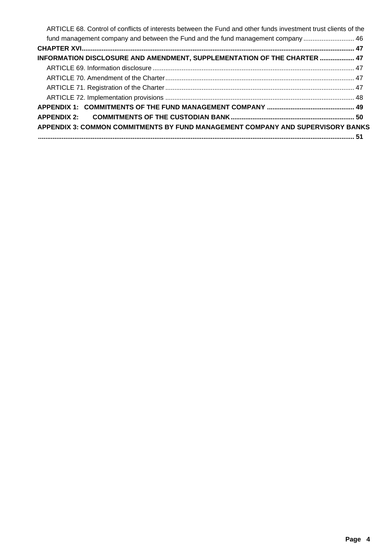| ARTICLE 68. Control of conflicts of interests between the Fund and other funds investment trust clients of the |  |
|----------------------------------------------------------------------------------------------------------------|--|
| fund management company and between the Fund and the fund management company  46                               |  |
|                                                                                                                |  |
| INFORMATION DISCLOSURE AND AMENDMENT, SUPPLEMENTATION OF THE CHARTER  47                                       |  |
|                                                                                                                |  |
|                                                                                                                |  |
|                                                                                                                |  |
|                                                                                                                |  |
|                                                                                                                |  |
|                                                                                                                |  |
| APPENDIX 3: COMMON COMMITMENTS BY FUND MANAGEMENT COMPANY AND SUPERVISORY BANKS                                |  |
|                                                                                                                |  |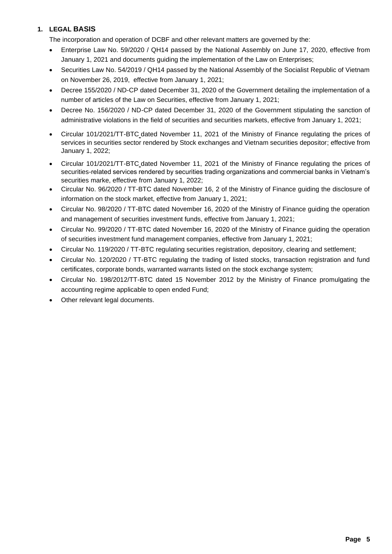## **1. LEGAL BASIS**

The incorporation and operation of DCBF and other relevant matters are governed by the:

- Enterprise Law No. 59/2020 / QH14 passed by the National Assembly on June 17, 2020, effective from January 1, 2021 and documents guiding the implementation of the Law on Enterprises;
- Securities Law No. 54/2019 / QH14 passed by the National Assembly of the Socialist Republic of Vietnam on November 26, 2019, effective from January 1, 2021;
- Decree 155/2020 / ND-CP dated December 31, 2020 of the Government detailing the implementation of a number of articles of the Law on Securities, effective from January 1, 2021;
- Decree No. 156/2020 / ND-CP dated December 31, 2020 of the Government stipulating the sanction of administrative violations in the field of securities and securities markets, effective from January 1, 2021;
- Circular 101/2021/TT-BTC dated November 11, 2021 of the Ministry of Finance regulating the prices of services in securities sector rendered by Stock exchanges and Vietnam securities depositor; effective from January 1, 2022;
- Circular 101/2021/TT-BTC dated November 11, 2021 of the Ministry of Finance regulating the prices of securities-related services rendered by securities trading organizations and commercial banks in Vietnam's securities marke, effective from January 1, 2022;
- Circular No. 96/2020 / TT-BTC dated November 16, 2 of the Ministry of Finance guiding the disclosure of information on the stock market, effective from January 1, 2021;
- Circular No. 98/2020 / TT-BTC dated November 16, 2020 of the Ministry of Finance guiding the operation and management of securities investment funds, effective from January 1, 2021;
- Circular No. 99/2020 / TT-BTC dated November 16, 2020 of the Ministry of Finance guiding the operation of securities investment fund management companies, effective from January 1, 2021;
- Circular No. 119/2020 / TT-BTC regulating securities registration, depository, clearing and settlement;
- Circular No. 120/2020 / TT-BTC regulating the trading of listed stocks, transaction registration and fund certificates, corporate bonds, warranted warrants listed on the stock exchange system;
- Circular No. 198/2012/TT-BTC dated 15 November 2012 by the Ministry of Finance promulgating the accounting regime applicable to open ended Fund;
- Other relevant legal documents.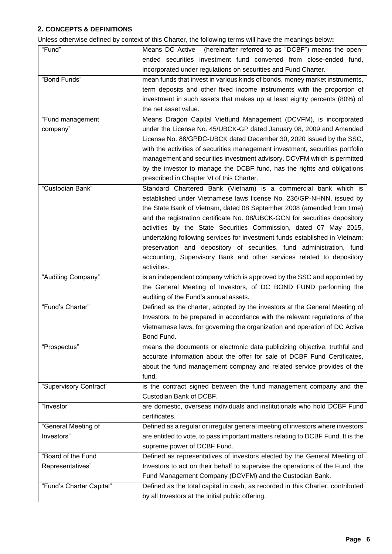## **2. CONCEPTS & DEFINITIONS**

Unless otherwise defined by context of this Charter, the following terms will have the meanings below**:**

| "Fund"                   | Means DC Active (hereinafter referred to as "DCBF") means the open-              |
|--------------------------|----------------------------------------------------------------------------------|
|                          | ended securities investment fund converted from close-ended fund,                |
|                          | incorporated under regulations on securities and Fund Charter.                   |
| "Bond Funds"             | mean funds that invest in various kinds of bonds, money market instruments,      |
|                          |                                                                                  |
|                          | term deposits and other fixed income instruments with the proportion of          |
|                          | investment in such assets that makes up at least eighty percents (80%) of        |
|                          | the net asset value.                                                             |
| "Fund management         | Means Dragon Capital Vietfund Management (DCVFM), is incorporated                |
| company"                 | under the License No. 45/UBCK-GP dated January 08, 2009 and Amended              |
|                          | License No. 88/GPDC-UBCK dated December 30, 2020 issued by the SSC,              |
|                          | with the activities of securities management investment, securities portfolio    |
|                          | management and securities investment advisory. DCVFM which is permitted          |
|                          | by the investor to manage the DCBF fund, has the rights and obligations          |
|                          | prescribed in Chapter VI of this Charter.                                        |
| "Custodian Bank"         | Standard Chartered Bank (Vietnam) is a commercial bank which is                  |
|                          | established under Vietnamese laws license No. 236/GP-NHNN, issued by             |
|                          | the State Bank of Vietnam, dated 08 September 2008 (amended from time)           |
|                          | and the registration certificate No. 08/UBCK-GCN for securities depository       |
|                          | activities by the State Securities Commission, dated 07 May 2015,                |
|                          | undertaking following services for investment funds established in Vietnam:      |
|                          | preservation and depository of securities, fund administration, fund             |
|                          | accounting, Supervisory Bank and other services related to depository            |
|                          | activities.                                                                      |
|                          | is an independent company which is approved by the SSC and appointed by          |
|                          |                                                                                  |
| "Auditing Company"       |                                                                                  |
|                          | the General Meeting of Investors, of DC BOND FUND performing the                 |
|                          | auditing of the Fund's annual assets.                                            |
| "Fund's Charter"         | Defined as the charter, adopted by the investors at the General Meeting of       |
|                          | Investors, to be prepared in accordance with the relevant regulations of the     |
|                          | Vietnamese laws, for governing the organization and operation of DC Active       |
|                          | Bond Fund.                                                                       |
| "Prospectus"             | means the documents or electronic data publicizing objective, truthful and       |
|                          | accurate information about the offer for sale of DCBF Fund Certificates,         |
|                          | about the fund management compnay and related service provides of the            |
|                          | fund.                                                                            |
| "Supervisory Contract"   | is the contract signed between the fund management company and the               |
|                          | Custodian Bank of DCBF.                                                          |
| "Investor"               | are domestic, overseas individuals and institutionals who hold DCBF Fund         |
|                          | certificates.                                                                    |
| "General Meeting of      | Defined as a regular or irregular general meeting of investors where investors   |
| Investors"               | are entitled to vote, to pass important matters relating to DCBF Fund. It is the |
|                          | supreme power of DCBF Fund.                                                      |
| "Board of the Fund       | Defined as representatives of investors elected by the General Meeting of        |
| Representatives"         | Investors to act on their behalf to supervise the operations of the Fund, the    |
|                          | Fund Management Company (DCVFM) and the Custodian Bank.                          |
| "Fund's Charter Capital" | Defined as the total capital in cash, as recorded in this Charter, contributed   |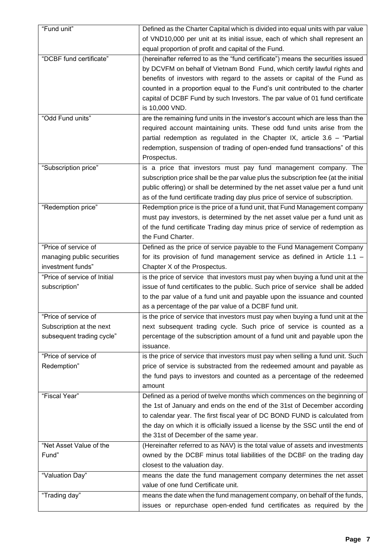| "Fund unit"                  | Defined as the Charter Capital which is divided into equal units with par value     |
|------------------------------|-------------------------------------------------------------------------------------|
|                              | of VND10,000 per unit at its initial issue, each of which shall represent an        |
|                              | equal proportion of profit and capital of the Fund.                                 |
| "DCBF fund certificate"      | (hereinafter referred to as the "fund certificate") means the securities issued     |
|                              | by DCVFM on behalf of Vietnam Bond Fund, which certify lawful rights and            |
|                              | benefits of investors with regard to the assets or capital of the Fund as           |
|                              | counted in a proportion equal to the Fund's unit contributed to the charter         |
|                              | capital of DCBF Fund by such Investors. The par value of 01 fund certificate        |
|                              | is 10,000 VND.                                                                      |
| "Odd Fund units"             | are the remaining fund units in the investor's account which are less than the      |
|                              | required account maintaining units. These odd fund units arise from the             |
|                              | partial redemption as regulated in the Chapter IX, article 3.6 - "Partial           |
|                              | redemption, suspension of trading of open-ended fund transactions" of this          |
|                              | Prospectus.                                                                         |
| "Subscription price"         | is a price that investors must pay fund management company. The                     |
|                              | subscription price shall be the par value plus the subscription fee (at the initial |
|                              | public offering) or shall be determined by the net asset value per a fund unit      |
|                              | as of the fund certificate trading day plus price of service of subscription.       |
| "Redemption price"           | Redemption price is the price of a fund unit, that Fund Management company          |
|                              | must pay investors, is determined by the net asset value per a fund unit as         |
|                              | of the fund certificate Trading day minus price of service of redemption as         |
|                              | the Fund Charter.                                                                   |
| "Price of service of         | Defined as the price of service payable to the Fund Management Company              |
| managing public securities   | for its provision of fund management service as defined in Article 1.1 -            |
| investment funds"            | Chapter X of the Prospectus.                                                        |
| "Price of service of Initial | is the price of service that investors must pay when buying a fund unit at the      |
| subscription"                | issue of fund certificates to the public. Such price of service shall be added      |
|                              | to the par value of a fund unit and payable upon the issuance and counted           |
|                              | as a percentage of the par value of a DCBF fund unit.                               |
| "Price of service of         | is the price of service that investors must pay when buying a fund unit at the      |
| Subscription at the next     | next subsequent trading cycle. Such price of service is counted as a                |
| subsequent trading cycle"    | percentage of the subscription amount of a fund unit and payable upon the           |
|                              | issuance.                                                                           |
| "Price of service of         | is the price of service that investors must pay when selling a fund unit. Such      |
| Redemption"                  | price of service is substracted from the redeemed amount and payable as             |
|                              | the fund pays to investors and counted as a percentage of the redeemed              |
|                              | amount                                                                              |
| "Fiscal Year"                | Defined as a period of twelve months which commences on the beginning of            |
|                              | the 1st of January and ends on the end of the 31st of December according            |
|                              | to calendar year. The first fiscal year of DC BOND FUND is calculated from          |
|                              | the day on which it is officially issued a license by the SSC until the end of      |
|                              | the 31st of December of the same year.                                              |
| "Net Asset Value of the      | (Hereinafter referred to as NAV) is the total value of assets and investments       |
| Fund"                        | owned by the DCBF minus total liabilities of the DCBF on the trading day            |
|                              | closest to the valuation day.                                                       |
| "Valuation Day"              | means the date the fund management company determines the net asset                 |
|                              | value of one fund Certificate unit.                                                 |
| "Trading day"                | means the date when the fund management company, on behalf of the funds,            |
|                              | issues or repurchase open-ended fund certificates as required by the                |
|                              |                                                                                     |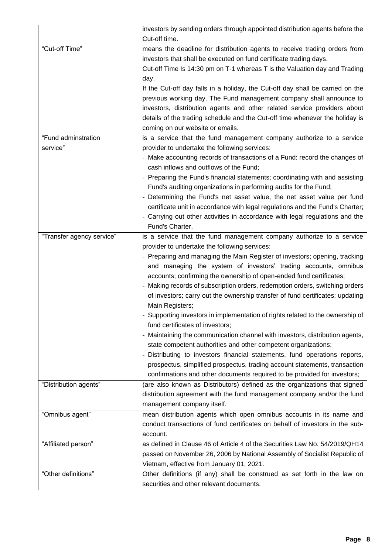|                           | investors by sending orders through appointed distribution agents before the   |
|---------------------------|--------------------------------------------------------------------------------|
|                           | Cut-off time.                                                                  |
| "Cut-off Time"            | means the deadline for distribution agents to receive trading orders from      |
|                           | investors that shall be executed on fund certificate trading days.             |
|                           | Cut-off Time Is 14:30 pm on T-1 whereas T is the Valuation day and Trading     |
|                           | day.                                                                           |
|                           | If the Cut-off day falls in a holiday, the Cut-off day shall be carried on the |
|                           | previous working day. The Fund management company shall announce to            |
|                           | investors, distribution agents and other related service providers about       |
|                           | details of the trading schedule and the Cut-off time whenever the holiday is   |
|                           | coming on our website or emails.                                               |
| "Fund adminstration       | is a service that the fund management company authorize to a service           |
| service"                  | provider to undertake the following services:                                  |
|                           | - Make accounting records of transactions of a Fund: record the changes of     |
|                           | cash inflows and outflows of the Fund;                                         |
|                           | - Preparing the Fund's financial statements; coordinating with and assisting   |
|                           | Fund's auditing organizations in performing audits for the Fund;               |
|                           | - Determining the Fund's net asset value, the net asset value per fund         |
|                           | certificate unit in accordance with legal regulations and the Fund's Charter;  |
|                           | - Carrying out other activities in accordance with legal regulations and the   |
|                           | Fund's Charter.                                                                |
| "Transfer agency service" | is a service that the fund management company authorize to a service           |
|                           | provider to undertake the following services:                                  |
|                           | - Preparing and managing the Main Register of investors; opening, tracking     |
|                           | and managing the system of investors' trading accounts, omnibus                |
|                           | accounts; confirming the ownership of open-ended fund certificates;            |
|                           | - Making records of subscription orders, redemption orders, switching orders   |
|                           | of investors; carry out the ownership transfer of fund certificates; updating  |
|                           | Main Registers;                                                                |
|                           | - Supporting investors in implementation of rights related to the ownership of |
|                           | fund certificates of investors;                                                |
|                           | - Maintaining the communication channel with investors, distribution agents,   |
|                           | state competent authorities and other competent organizations;                 |
|                           | - Distributing to investors financial statements, fund operations reports,     |
|                           | prospectus, simplified prospectus, trading account statements, transaction     |
|                           | confirmations and other documents required to be provided for investors;       |
| "Distribution agents"     | (are also known as Distributors) defined as the organizations that signed      |
|                           | distribution agreement with the fund management company and/or the fund        |
|                           | management company itself.                                                     |
| "Omnibus agent"           | mean distribution agents which open omnibus accounts in its name and           |
|                           | conduct transactions of fund certificates on behalf of investors in the sub-   |
|                           | account.                                                                       |
| "Affiliated person"       | as defined in Clause 46 of Article 4 of the Securities Law No. 54/2019/QH14    |
|                           | passed on November 26, 2006 by National Assembly of Socialist Republic of      |
|                           | Vietnam, effective from January 01, 2021.                                      |
| "Other definitions"       | Other definitions (if any) shall be construed as set forth in the law on       |
|                           | securities and other relevant documents.                                       |
|                           |                                                                                |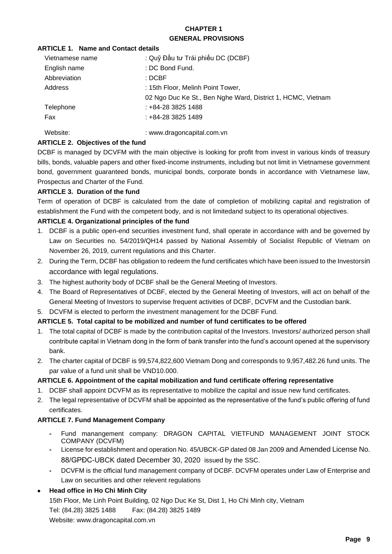## **CHAPTER 1 GENERAL PROVISIONS**

## **ARTICLE 1. Name and Contact details**

| Vietnamese name | : Quỹ Đầu tư Trái phiếu DC (DCBF)                           |
|-----------------|-------------------------------------------------------------|
| English name    | : DC Bond Fund.                                             |
| Abbreviation    | : DCBF                                                      |
| Address         | : 15th Floor, Melinh Point Tower,                           |
|                 | 02 Ngo Duc Ke St., Ben Nghe Ward, District 1, HCMC, Vietnam |
| Telephone       | : +84-28 3825 1488                                          |
| Fax             | : +84-28 3825 1489                                          |
|                 |                                                             |

Website:  $www.dragoncapital.com.vn$ 

## **ARTICLE 2. Objectives of the fund**

DCBF is managed by DCVFM with the main objective is looking for profit from invest in various kinds of treasury bills, bonds, valuable papers and other fixed-income instruments, including but not limit in Vietnamese government bond, government guaranteed bonds, municipal bonds, corporate bonds in accordance with Vietnamese law, Prospectus and Charter of the Fund.

## **ARTICLE 3. Duration of the fund**

Term of operation of DCBF is calculated from the date of completion of mobilizing capital and registration of establishment the Fund with the competent body, and is not limitedand subject to its operational objectives.

## **ARTICLE 4. Organizational principles of the fund**

- 1. DCBF is a public open-end securities investment fund, shall operate in accordance with and be governed by Law on Securities no. 54/2019/QH14 passed by National Assembly of Socialist Republic of Vietnam on November 26, 2019, current regulations and this Charter.
- 2. During the Term, DCBF has obligation to redeem the fund certificates which have been issued to the Investorsin accordance with legal regulations.
- 3. The highest authority body of DCBF shall be the General Meeting of Investors.
- 4. The Board of Representatives of DCBF, elected by the General Meeting of Investors, will act on behalf of the General Meeting of Investors to supervise frequent activities of DCBF, DCVFM and the Custodian bank.

## 5. DCVFM is elected to perform the investment management for the DCBF Fund.

## **ARTICLE 5. Total capital to be mobilized and number of fund certificates to be offered**

- 1. The total capital of DCBF is made by the contribution capital of the Investors. Investors/ authorized person shall contribute capital in Vietnam dong in the form of bank transfer into the fund's account opened at the supervisory bank.
- 2. The charter capital of DCBF is 99,574,822,600 Vietnam Dong and corresponds to 9,957,482.26 fund units. The par value of a fund unit shall be VND10.000.

## **ARTICLE 6. Appointment of the capital mobilization and fund certificate offering representative**

- 1. DCBF shall appoint DCVFM as its representative to mobilize the capital and issue new fund certificates.
- 2. The legal representative of DCVFM shall be appointed as the representative of the fund's public offering of fund certificates.

## **ARTICLE 7. Fund Management Company**

- **-** Fund manangement company: DRAGON CAPITAL VIETFUND MANAGEMENT JOINT STOCK COMPANY (DCVFM)
- **-** License for establishment and operation No. 45/UBCK-GP dated 08 Jan 2009 and Amended License No. 88/GPĐC-UBCK dated December 30, 2020 issued by the SSC.
- **-** DCVFM is the official fund management company of DCBF. DCVFM operates under Law of Enterprise and Law on securities and other relevent regulations

## • **Head office in Ho Chi Minh City**

15th Floor, Me Linh Point Building, 02 Ngo Duc Ke St, Dist 1, Ho Chi Minh city, Vietnam Tel: (84.28) 3825 1488 Fax: (84.28) 3825 1489 Website: www.dragoncapital.com.vn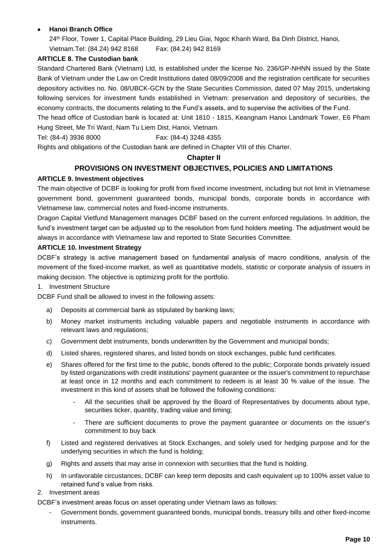## • **Hanoi Branch Office**

24<sup>th</sup> Floor, Tower 1, Capital Place Building, 29 Lieu Giai, Ngoc Khanh Ward, Ba Dinh District, Hanoi, Vietnam.Tel: (84.24) 942 8168 Fax: (84.24) 942 8169

## **ARTICLE 8. The Custodian bank**

Standard Chartered Bank (Vietnam) Ltd, is established under the license No. 236/GP-NHNN issued by the State Bank of Vietnam under the Law on Credit Institutions dated 08/09/2008 and the registration certificate for securities depository activities no. No. 08/UBCK-GCN by the State Securities Commission, dated 07 May 2015, undertaking following services for investment funds established in Vietnam: preservation and depository of securities, the economy contracts, the documents relating to the Fund's assets, and to supervise the activities of the Fund.

The head office of Custodian bank is located at: Unit 1810 - 1815, Keangnam Hanoi Landmark Tower, E6 Pham Hung Street, Me Tri Ward, Nam Tu Liem Dist, Hanoi, Vietnam.

Tel: (84-4) 3936 8000 Fax: (84-4) 3248 4355

Rights and obligations of the Custodian bank are defined in Chapter VIII of this Charter.

## **Chapter II**

## **PROVISIONS ON INVESTMENT OBJECTIVES, POLICIES AND LIMITATIONS**

#### **ARTICLE 9. Investment objectives**

The main objective of DCBF is looking for profit from fixed income investment, including but not limit in Vietnamese government bond, government guaranteed bonds, municipal bonds, corporate bonds in accordance with Vietnamese law, commercial notes and fixed-income instruments.

Dragon Capital Vietfund Management manages DCBF based on the current enforced regulations. In addition, the fund's investment target can be adjusted up to the resolution from fund holders meeting. The adjustment would be always in accordance with Vietnamese law and reported to State Securities Committee.

#### **ARTICLE 10. Investment Strategy**

DCBF's strategy is active management based on fundamental analysis of macro conditions, analysis of the movement of the fixed-income market, as well as quantitative models, statistic or corporate analysis of issuers in making decision. The objective is optimizing profit for the portfolio.

#### 1. Investment Structure

DCBF Fund shall be allowed to invest in the following assets:

- a) Deposits at commercial bank as stipulated by banking laws;
- b) Money market instruments including valuable papers and negotiable instruments in accordance with relevant laws and regulations;
- c) Government debt instruments, bonds underwritten by the Government and municipal bonds;
- d) Listed shares, registered shares, and listed bonds on stock exchanges, public fund certificates.
- e) Shares offered for the first time to the public, bonds offered to the public; Corporate bonds privately issued by listed organizations with credit institutions' payment guarantee or the issuer's commitment to repurchase at least once in 12 months and each commitment to redeem is at least 30 % value of the issue. The investment in this kind of assets shall be followed the following conditions:
	- All the securities shall be approved by the Board of Representatives by documents about type, securities ticker, quantity, trading value and timing;
	- There are sufficient documents to prove the payment quarantee or documents on the issuer's commitment to buy back
- f) Listed and registered derivatives at Stock Exchanges, and solely used for hedging purpose and for the underlying securities in which the fund is holding;
- g) Rights and assets that may arise in connexion with securities that the fund is holding.
- h) In unfavorable circustances, DCBF can keep term deposits and cash equivalent up to 100% asset value to retained fund's value from risks.

#### 2. Investment areas

DCBF's investment areas focus on asset operating under Vietnam laws as follows:

Government bonds, government guaranteed bonds, municipal bonds, treasury bills and other fixed-income instruments.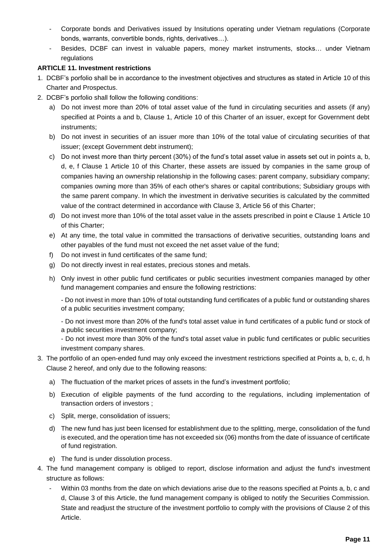- Corporate bonds and Derivatives issued by Insitutions operating under Vietnam regulations (Corporate bonds, warrants, convertible bonds, rights, derivatives…).
- Besides, DCBF can invest in valuable papers, money market instruments, stocks… under Vietnam regulations

## **ARTICLE 11. Investment restrictions**

- 1. DCBF's porfolio shall be in accordance to the investment objectives and structures as stated in Article 10 of this Charter and Prospectus.
- 2. DCBF's porfolio shall follow the following conditions:
	- a) Do not invest more than 20% of total asset value of the fund in circulating securities and assets (if any) specified at Points a and b, Clause 1, Article 10 of this Charter of an issuer, except for Government debt instruments;
	- b) Do not invest in securities of an issuer more than 10% of the total value of circulating securities of that issuer; (except Government debt instrument);
	- c) Do not invest more than thirty percent (30%) of the fund's total asset value in assets set out in points a, b, d, e, f Clause 1 Article 10 of this Charter, these assets are issued by companies in the same group of companies having an ownership relationship in the following cases: parent company, subsidiary company; companies owning more than 35% of each other's shares or capital contributions; Subsidiary groups with the same parent company. In which the investment in derivative securities is calculated by the committed value of the contract determined in accordance with Clause 3, Article 56 of this Charter;
	- d) Do not invest more than 10% of the total asset value in the assets prescribed in point e Clause 1 Article 10 of this Charter;
	- e) At any time, the total value in committed the transactions of derivative securities, outstanding loans and other payables of the fund must not exceed the net asset value of the fund;
	- f) Do not invest in fund certificates of the same fund;
	- g) Do not directly invest in real estates, precious stones and metals.
	- h) Only invest in other public fund certificates or public securities investment companies managed by other fund management companies and ensure the following restrictions:

- Do not invest in more than 10% of total outstanding fund certificates of a public fund or outstanding shares of a public securities investment company;

- Do not invest more than 20% of the fund's total asset value in fund certificates of a public fund or stock of a public securities investment company;

- Do not invest more than 30% of the fund's total asset value in public fund certificates or public securities investment company shares.

## 3. The portfolio of an open-ended fund may only exceed the investment restrictions specified at Points a, b, c, d, h Clause 2 hereof, and only due to the following reasons:

- a) The fluctuation of the market prices of assets in the fund's investment portfolio;
- b) Execution of eligible payments of the fund according to the regulations, including implementation of transaction orders of investors ;
- c) Split, merge, consolidation of issuers;
- d) The new fund has just been licensed for establishment due to the splitting, merge, consolidation of the fund is executed, and the operation time has not exceeded six (06) months from the date of issuance of certificate of fund registration.
- e) The fund is under dissolution process.
- 4. The fund management company is obliged to report, disclose information and adjust the fund's investment structure as follows:
	- Within 03 months from the date on which deviations arise due to the reasons specified at Points a, b, c and d, Clause 3 of this Article, the fund management company is obliged to notify the Securities Commission. State and readjust the structure of the investment portfolio to comply with the provisions of Clause 2 of this Article.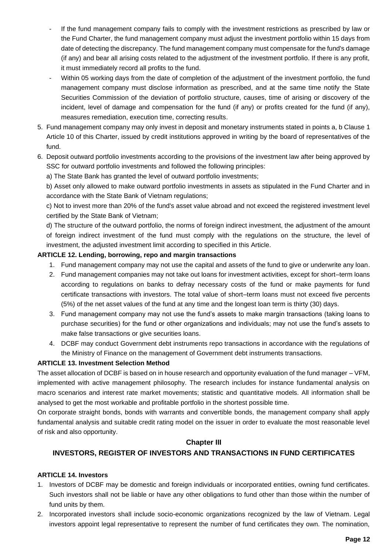- If the fund management company fails to comply with the investment restrictions as prescribed by law or the Fund Charter, the fund management company must adjust the investment portfolio within 15 days from date of detecting the discrepancy. The fund management company must compensate for the fund's damage (if any) and bear all arising costs related to the adjustment of the investment portfolio. If there is any profit, it must immediately record all profits to the fund.
- Within 05 working days from the date of completion of the adjustment of the investment portfolio, the fund management company must disclose information as prescribed, and at the same time notify the State Securities Commission of the deviation of portfolio structure, causes, time of arising or discovery of the incident, level of damage and compensation for the fund (if any) or profits created for the fund (if any), measures remediation, execution time, correcting results.
- 5. Fund management company may only invest in deposit and monetary instruments stated in points a, b Clause 1 Article 10 of this Charter, issued by credit institutions approved in writing by the board of representatives of the fund.
- 6. Deposit outward portfolio investments according to the provisions of the investment law after being approved by SSC for outward portfolio investments and followed the following principles:

a) The State Bank has granted the level of outward portfolio investments;

b) Asset only allowed to make outward portfolio investments in assets as stipulated in the Fund Charter and in accordance with the State Bank of Vietnam regulations;

c) Not to invest more than 20% of the fund's asset value abroad and not exceed the registered investment level certified by the State Bank of Vietnam;

d) The structure of the outward portfolio, the norms of foreign indirect investment, the adjustment of the amount of foreign indirect investment of the fund must comply with the regulations on the structure, the level of investment, the adjusted investment limit according to specified in this Article.

#### **ARTICLE 12. Lending, borrowing, repo and margin transactions**

- 1. Fund management company may not use the capital and assets of the fund to give or underwrite any loan.
- 2. Fund management companies may not take out loans for investment activities, except for short–term loans according to regulations on banks to defray necessary costs of the fund or make payments for fund certificate transactions with investors. The total value of short–term loans must not exceed five percents (5%) of the net asset values of the fund at any time and the longest loan term is thirty (30) days.
- 3. Fund management company may not use the fund's assets to make margin transactions (taking loans to purchase securities) for the fund or other organizations and individuals; may not use the fund's assets to make false transactions or give securities loans.
- 4. DCBF may conduct Government debt instruments repo transactions in accordance with the regulations of the Ministry of Finance on the management of Government debt instruments transactions.

#### **ARTICLE 13. Investment Selection Method**

The asset allocation of DCBF is based on in house research and opportunity evaluation of the fund manager – VFM, implemented with active management philosophy. The research includes for instance fundamental analysis on macro scenarios and interest rate market movements; statistic and quantitative models. All information shall be analysed to get the most workable and profitable portfolio in the shortest possible time.

On corporate straight bonds, bonds with warrants and convertible bonds, the management company shall apply fundamental analysis and suitable credit rating model on the issuer in order to evaluate the most reasonable level of risk and also opportunity.

## **Chapter III**

## **INVESTORS, REGISTER OF INVESTORS AND TRANSACTIONS IN FUND CERTIFICATES**

#### **ARTICLE 14. Investors**

- 1. Investors of DCBF may be domestic and foreign individuals or incorporated entities, owning fund certificates. Such investors shall not be liable or have any other obligations to fund other than those within the number of fund units by them.
- 2. Incorporated investors shall include socio-economic organizations recognized by the law of Vietnam. Legal investors appoint legal representative to represent the number of fund certificates they own. The nomination,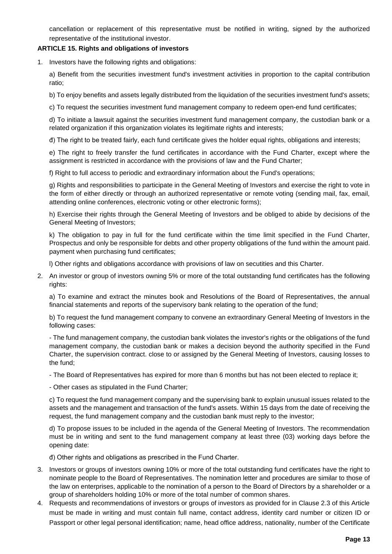cancellation or replacement of this representative must be notified in writing, signed by the authorized representative of the institutional investor.

#### **ARTICLE 15. Rights and obligations of investors**

1. Investors have the following rights and obligations:

a) Benefit from the securities investment fund's investment activities in proportion to the capital contribution ratio;

b) To enjoy benefits and assets legally distributed from the liquidation of the securities investment fund's assets;

c) To request the securities investment fund management company to redeem open-end fund certificates;

d) To initiate a lawsuit against the securities investment fund management company, the custodian bank or a related organization if this organization violates its legitimate rights and interests;

đ) The right to be treated fairly, each fund certificate gives the holder equal rights, obligations and interests;

e) The right to freely transfer the fund certificates in accordance with the Fund Charter, except where the assignment is restricted in accordance with the provisions of law and the Fund Charter;

f) Right to full access to periodic and extraordinary information about the Fund's operations;

g) Rights and responsibilities to participate in the General Meeting of Investors and exercise the right to vote in the form of either directly or through an authorized representative or remote voting (sending mail, fax, email, attending online conferences, electronic voting or other electronic forms);

h) Exercise their rights through the General Meeting of Investors and be obliged to abide by decisions of the General Meeting of Investors;

k) The obligation to pay in full for the fund certificate within the time limit specified in the Fund Charter, Prospectus and only be responsible for debts and other property obligations of the fund within the amount paid. payment when purchasing fund certificates;

l) Other rights and obligations accordance with provisions of law on secutities and this Charter.

2. An investor or group of investors owning 5% or more of the total outstanding fund certificates has the following rights:

a) To examine and extract the minutes book and Resolutions of the Board of Representatives, the annual financial statements and reports of the supervisory bank relating to the operation of the fund;

b) To request the fund management company to convene an extraordinary General Meeting of Investors in the following cases:

- The fund management company, the custodian bank violates the investor's rights or the obligations of the fund management company, the custodian bank or makes a decision beyond the authority specified in the Fund Charter, the supervision contract. close to or assigned by the General Meeting of Investors, causing losses to the fund;

- The Board of Representatives has expired for more than 6 months but has not been elected to replace it;

- Other cases as stipulated in the Fund Charter;

c) To request the fund management company and the supervising bank to explain unusual issues related to the assets and the management and transaction of the fund's assets. Within 15 days from the date of receiving the request, the fund management company and the custodian bank must reply to the investor;

d) To propose issues to be included in the agenda of the General Meeting of Investors. The recommendation must be in writing and sent to the fund management company at least three (03) working days before the opening date:

đ) Other rights and obligations as prescribed in the Fund Charter.

- 3. Investors or groups of investors owning 10% or more of the total outstanding fund certificates have the right to nominate people to the Board of Representatives. The nomination letter and procedures are similar to those of the law on enterprises, applicable to the nomination of a person to the Board of Directors by a shareholder or a group of shareholders holding 10% or more of the total number of common shares.
- 4. Requests and recommendations of investors or groups of investors as provided for in Clause 2.3 of this Article must be made in writing and must contain full name, contact address, identity card number or citizen ID or Passport or other legal personal identification; name, head office address, nationality, number of the Certificate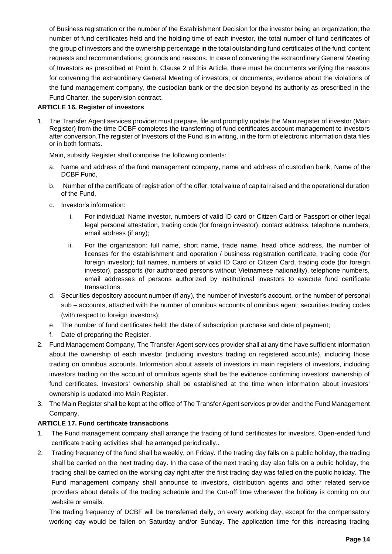of Business registration or the number of the Establishment Decision for the investor being an organization; the number of fund certificates held and the holding time of each investor, the total number of fund certificates of the group of investors and the ownership percentage in the total outstanding fund certificates of the fund; content requests and recommendations; grounds and reasons. In case of convening the extraordinary General Meeting of Investors as prescribed at Point b, Clause 2 of this Article, there must be documents verifying the reasons for convening the extraordinary General Meeting of investors; or documents, evidence about the violations of the fund management company, the custodian bank or the decision beyond its authority as prescribed in the Fund Charter, the supervision contract.

#### **ARTICLE 16. Register of investors**

1. The Transfer Agent services provider must prepare, file and promptly update the Main register of investor (Main Register) from the time DCBF completes the transferring of fund certificates account management to investors after conversion.The register of Investors of the Fund is in writing, in the form of electronic information data files or in both formats.

Main, subsidy Register shall comprise the following contents:

- a. Name and address of the fund management company, name and address of custodian bank, Name of the DCBF Fund,
- b. Number of the certificate of registration of the offer, total value of capital raised and the operational duration of the Fund,
- c. Investor's information:
	- i. For individual: Name investor, numbers of valid ID card or [Citizen Card](https://www.citizencard.com/) or Passport or other legal legal personal attestation, trading code (for foreign investor), contact address, telephone numbers, email address (if any);
	- ii. For the organization: full name, short name, trade name, head office address, the number of licenses for the establishment and operation / business registration certificate, trading code (for foreign investor); full names, numbers of valid ID Card or [Citizen Card,](https://www.citizencard.com/) trading code (for foreign investor), passports (for authorized persons without Vietnamese nationality), telephone numbers, email addresses of persons authorized by institutional investors to execute fund certificate transactions.
- d. Securities depository account number (if any), the number of investor's account, or the number of personal sub – accounts, attached with the number of omnibus accounts of omnibus agent; securities trading codes (with respect to foreign investors);
- e. The number of fund certificates held; the date of subscription purchase and date of payment;
- f. Date of preparing the Register.
- 2. Fund Management Company, The Transfer Agent services provider shall at any time have sufficient information about the ownership of each investor (including investors trading on registered accounts), including those trading on omnibus accounts. Information about assets of investors in main registers of investors, including investors trading on the account of omnibus agents shall be the evidence confirming investors' ownership of fund certificates. Investors' ownership shall be established at the time when information about investors' ownership is updated into Main Register.
- 3. The Main Register shall be kept at the office of The Transfer Agent services provider and the Fund Management Company.

## **ARTICLE 17. Fund certificate transactions**

- 1. The Fund management company shall arrange the trading of fund certificates for investors. Open-ended fund certificate trading activities shall be arranged periodically..
- 2. Trading frequency of the fund shall be weekly, on Friday. If the trading day falls on a public holiday, the trading shall be carried on the next trading day. In the case of the next trading day also falls on a public holiday, the trading shall be carried on the working day right after the first trading day was falled on the public holiday. The Fund management company shall announce to investors, distribution agents and other related service providers about details of the trading schedule and the Cut-off time whenever the holiday is coming on our website or emails.

The trading frequency of DCBF will be transferred daily, on every working day, except for the compensatory working day would be fallen on Saturday and/or Sunday. The application time for this increasing trading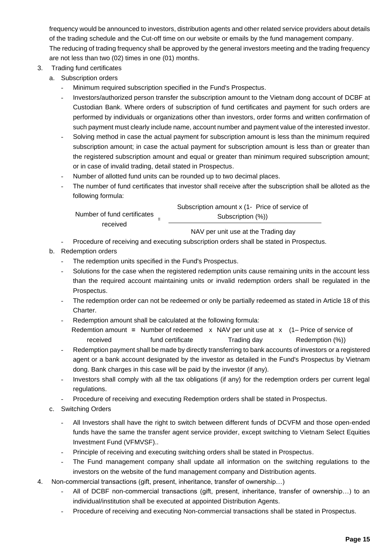frequency would be announced to investors, distribution agents and other related service providers about details of the trading schedule and the Cut-off time on our website or emails by the fund management company. The reducing of trading frequency shall be approved by the general investors meeting and the trading frequency are not less than two (02) times in one (01) months.

- 3. Trading fund certificates
	- a. Subscription orders
		- Minimum required subscription specified in the Fund's Prospectus.
		- Investors/authorized person transfer the subscription amount to the Vietnam dong account of DCBF at Custodian Bank. Where orders of subscription of fund certificates and payment for such orders are performed by individuals or organizations other than investors, order forms and written confirmation of such payment must clearly include name, account number and payment value of the interested investor.
		- Solving method in case the actual payment for subscription amount is less than the minimum required subscription amount; in case the actual payment for subscription amount is less than or greater than the registered subscription amount and equal or greater than minimum required subscription amount; or in case of invalid trading, detail stated in Prospectus.
		- Number of allotted fund units can be rounded up to two decimal places.
		- The number of fund certificates that investor shall receive after the subscription shall be alloted as the following formula:

| Number of fund certificates | Subscription amount x (1- Price of service of |  |
|-----------------------------|-----------------------------------------------|--|
|                             | Subscription (%))<br>$\equiv$                 |  |
| received                    |                                               |  |

NAV per unit use at the Trading day

- Procedure of receiving and executing subscription orders shall be stated in Prospectus.
- b. Redemption orders
	- The redemption units specified in the Fund's Prospectus.
	- Solutions for the case when the registered redemption units cause remaining units in the account less than the required account maintaining units or invalid redemption orders shall be regulated in the Prospectus.
	- The redemption order can not be redeemed or only be partially redeemed as stated in Article 18 of this Charter.
	- Redemption amount shall be calculated at the following formula:

Redemtion amount **=** Number of redeemed x NAV per unit use at x (1– Price of service of received fund certificate Trading day Redemption (%))

- Redemption payment shall be made by directly transferring to bank accounts of investors or a registered agent or a bank account designated by the investor as detailed in the Fund's Prospectus by Vietnam dong. Bank charges in this case will be paid by the investor (if any).
- Investors shall comply with all the tax obligations (if any) for the redemption orders per current legal regulations.
- Procedure of receiving and executing Redemption orders shall be stated in Prospectus.
- c. Switching Orders
	- All Investors shall have the right to switch between different funds of DCVFM and those open-ended funds have the same the transfer agent service provider, except switching to Vietnam Select Equities Investment Fund (VFMVSF)..
	- Principle of receiving and executing switching orders shall be stated in Prospectus.
	- The Fund management company shall update all information on the switching regulations to the investors on the website of the fund management company and Distribution agents.
- 4. Non-commercial transactions (gift, present, inheritance, transfer of ownership…)
	- All of DCBF non-commercial transactions (gift, present, inheritance, transfer of ownership...) to an individual/institution shall be executed at appointed Distribution Agents.
	- Procedure of receiving and executing Non-commercial transactions shall be stated in Prospectus.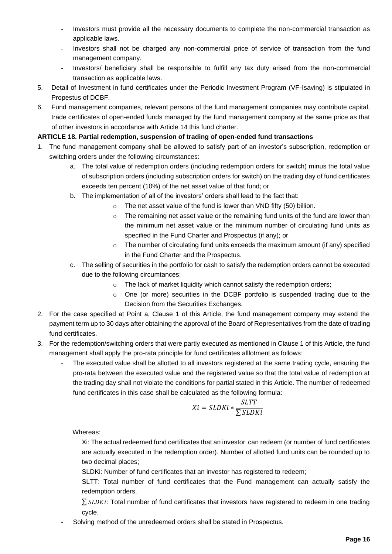- Investors must provide all the necessary documents to complete the non-commercial transaction as applicable laws.
- Investors shall not be charged any non-commercial price of service of transaction from the fund management company.
- Investors/ beneficiary shall be responsible to fulfill any tax duty arised from the non-commercial transaction as applicable laws.
- 5. Detail of Investment in fund certificates under the Periodic Investment Program (VF-Isaving) is stipulated in Propestus of DCBF.
- 6. Fund management companies, relevant persons of the fund management companies may contribute capital, trade certificates of open-ended funds managed by the fund management company at the same price as that of other investors in accordance with Article 14 this fund charter.

## **ARTICLE 18. Partial redemption, suspension of trading of open-ended fund transactions**

- 1. The fund management company shall be allowed to satisfy part of an investor's subscription, redemption or switching orders under the following circumstances:
	- a. The total value of redemption orders (including redemption orders for switch) minus the total value of subscription orders (including subscription orders for switch) on the trading day of fund certificates exceeds ten percent (10%) of the net asset value of that fund; or
	- b. The implementation of all of the investors' orders shall lead to the fact that:
		- o The net asset value of the fund is lower than VND fifty (50) billion.
		- $\circ$  The remaining net asset value or the remaining fund units of the fund are lower than the minimum net asset value or the minimum number of circulating fund units as specified in the Fund Charter and Prospectus (if any); or
		- $\circ$  The number of circulating fund units exceeds the maximum amount (if any) specified in the Fund Charter and the Prospectus.
	- c. The selling of securities in the portfolio for cash to satisfy the redemption orders cannot be executed due to the following circumtances:
		- o The lack of market liquidity which cannot satisfy the redemption orders;
		- o One (or more) securities in the DCBF portfolio is suspended trading due to the Decision from the Securities Exchanges.
- 2. For the case specified at Point a, Clause 1 of this Article, the fund management company may extend the payment term up to 30 days after obtaining the approval of the Board of Representatives from the date of trading fund certificates.
- 3. For the redemption/switching orders that were partly executed as mentioned in Clause 1 of this Article, the fund management shall apply the pro-rata principle for fund certificates alllotment as follows:
	- The executed value shall be allotted to all investors registered at the same trading cycle, ensuring the pro-rata between the executed value and the registered value so that the total value of redemption at the trading day shall not violate the conditions for partial stated in this Article. The number of redeemed fund certificates in this case shall be calculated as the following formula:

$$
Xi = SLDKi * \frac{SLTT}{\sum SLDKi}
$$

Whereas:

Xi: The actual redeemed fund certificates that an investor can redeem (or number of fund certificates are actually executed in the redemption order). Number of allotted fund units can be rounded up to two decimal places;

SLDKi: Number of fund certificates that an investor has registered to redeem;

SLTT: Total number of fund certificates that the Fund management can actually satisfy the redemption orders.

 $\Sigma$  SLDKi: Total number of fund certificates that investors have registered to redeem in one trading cycle.

Solving method of the unredeemed orders shall be stated in Prospectus.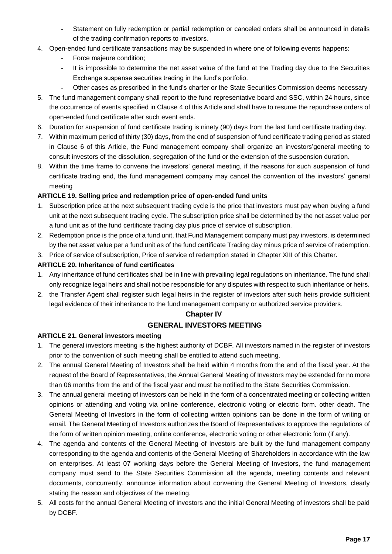- Statement on fully redemption or partial redemption or canceled orders shall be announced in details of the trading confirmation reports to investors.
- 4. Open-ended fund certificate transactions may be suspended in where one of following events happens:
	- Force majeure condition;
	- It is impossible to determine the net asset value of the fund at the Trading day due to the Securities Exchange suspense securities trading in the fund's portfolio.
	- Other cases as prescribed in the fund's charter or the State Securities Commission deems necessary
- 5. The fund management company shall report to the fund representative board and SSC, within 24 hours, since the occurrence of events specified in Clause 4 of this Article and shall have to resume the repurchase orders of open-ended fund certificate after such event ends.
- 6. Duration for suspension of fund certificate trading is ninety (90) days from the last fund certificate trading day.
- 7. Within maximum period of thirty (30) days, from the end of suspension of fund certificate trading period as stated in Clause 6 of this Article, the Fund management company shall organize an investors'general meeting to consult investors of the dissolution, segregation of the fund or the extension of the suspension duration.
- 8. Within the time frame to convene the investors' general meeting, if the reasons for such suspension of fund certificate trading end, the fund management company may cancel the convention of the investors' general meeting

## **ARTICLE 19. Selling price and redemption price of open-ended fund units**

- 1. Subscription price at the next subsequent trading cycle is the price that investors must pay when buying a fund unit at the next subsequent trading cycle. The subscription price shall be determined by the net asset value per a fund unit as of the fund certificate trading day plus price of service of subscription.
- 2. Redemption price is the price of a fund unit, that Fund Management company must pay investors, is determined by the net asset value per a fund unit as of the fund certificate Trading day minus price of service of redemption.
- 3. Price of service of subscription, Price of service of redemption stated in Chapter XIII of this Charter.

## **ARTICLE 20. Inheritance of fund certificates**

- 1. Any inheritance of fund certificates shall be in line with prevailing legal regulations on inheritance. The fund shall only recognize legal heirs and shall not be responsible for any disputes with respect to such inheritance or heirs.
- 2. the Transfer Agent shall register such legal heirs in the register of investors after such heirs provide sufficient legal evidence of their inheritance to the fund management company or authorized service providers.

## **Chapter IV**

## **GENERAL INVESTORS MEETING**

## **ARTICLE 21. General investors meeting**

- 1. The general investors meeting is the highest authority of DCBF. All investors named in the register of investors prior to the convention of such meeting shall be entitled to attend such meeting.
- 2. The annual General Meeting of Investors shall be held within 4 months from the end of the fiscal year. At the request of the Board of Representatives, the Annual General Meeting of Investors may be extended for no more than 06 months from the end of the fiscal year and must be notified to the State Securities Commission.
- 3. The annual general meeting of investors can be held in the form of a concentrated meeting or collecting written opinions or attending and voting via online conference, electronic voting or electric form. other death. The General Meeting of Investors in the form of collecting written opinions can be done in the form of writing or email. The General Meeting of Investors authorizes the Board of Representatives to approve the regulations of the form of written opinion meeting, online conference, electronic voting or other electronic form (if any).
- 4. The agenda and contents of the General Meeting of Investors are built by the fund management company corresponding to the agenda and contents of the General Meeting of Shareholders in accordance with the law on enterprises. At least 07 working days before the General Meeting of Investors, the fund management company must send to the State Securities Commission all the agenda, meeting contents and relevant documents, concurrently. announce information about convening the General Meeting of Investors, clearly stating the reason and objectives of the meeting.
- 5. All costs for the annual General Meeting of investors and the initial General Meeting of investors shall be paid by DCBF.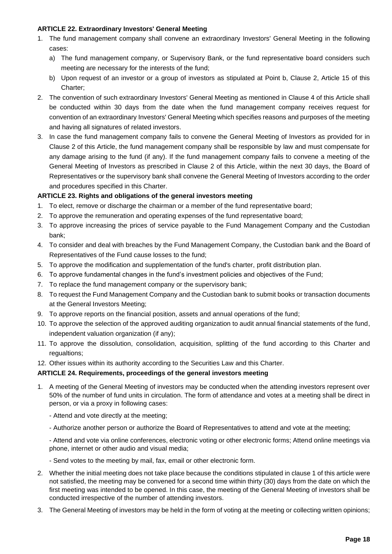#### **ARTICLE 22. Extraordinary Investors' General Meeting**

- 1. The fund management company shall convene an extraordinary Investors' General Meeting in the following cases:
	- a) The fund management company, or Supervisory Bank, or the fund representative board considers such meeting are necessary for the interests of the fund;
	- b) Upon request of an investor or a group of investors as stipulated at Point b, Clause 2, Article 15 of this Charter;
- 2. The convention of such extraordinary Investors' General Meeting as mentioned in Clause 4 of this Article shall be conducted within 30 days from the date when the fund management company receives request for convention of an extraordinary Investors' General Meeting which specifies reasons and purposes of the meeting and having all signatures of related investors.
- 3. In case the fund management company fails to convene the General Meeting of Investors as provided for in Clause 2 of this Article, the fund management company shall be responsible by law and must compensate for any damage arising to the fund (if any). If the fund management company fails to convene a meeting of the General Meeting of Investors as prescribed in Clause 2 of this Article, within the next 30 days, the Board of Representatives or the supervisory bank shall convene the General Meeting of Investors according to the order and procedures specified in this Charter.

## **ARTICLE 23. Rights and obligations of the general investors meeting**

- 1. To elect, remove or discharge the chairman or a member of the fund representative board;
- 2. To approve the remuneration and operating expenses of the fund representative board;
- 3. To approve increasing the prices of service payable to the Fund Management Company and the Custodian bank;
- 4. To consider and deal with breaches by the Fund Management Company, the Custodian bank and the Board of Representatives of the Fund cause losses to the fund;
- 5. To approve the modification and supplementation of the fund's charter, profit distribution plan.
- 6. To approve fundamental changes in the fund's investment policies and objectives of the Fund;
- 7. To replace the fund management company or the supervisory bank;
- 8. To request the Fund Management Company and the Custodian bank to submit books or transaction documents at the General Investors Meeting;
- 9. To approve reports on the financial position, assets and annual operations of the fund;
- 10. To approve the selection of the approved auditing organization to audit annual financial statements of the fund, independent valuation organization (if any);
- 11. To approve the dissolution, consolidation, acquisition, splitting of the fund according to this Charter and regualtions;
- 12. Other issues within its authority according to the Securities Law and this Charter.

## **ARTICLE 24. Requirements, proceedings of the general investors meeting**

- 1. A meeting of the General Meeting of investors may be conducted when the attending investors represent over 50% of the number of fund units in circulation. The form of attendance and votes at a meeting shall be direct in person, or via a proxy in following cases:
	- Attend and vote directly at the meeting;
	- Authorize another person or authorize the Board of Representatives to attend and vote at the meeting;

- Attend and vote via online conferences, electronic voting or other electronic forms; Attend online meetings via phone, internet or other audio and visual media;

- Send votes to the meeting by mail, fax, email or other electronic form.
- 2. Whether the initial meeting does not take place because the conditions stipulated in clause 1 of this article were not satisfied, the meeting may be convened for a second time within thirty (30) days from the date on which the first meeting was intended to be opened. In this case, the meeting of the General Meeting of investors shall be conducted irrespective of the number of attending investors.
- 3. The General Meeting of investors may be held in the form of voting at the meeting or collecting written opinions;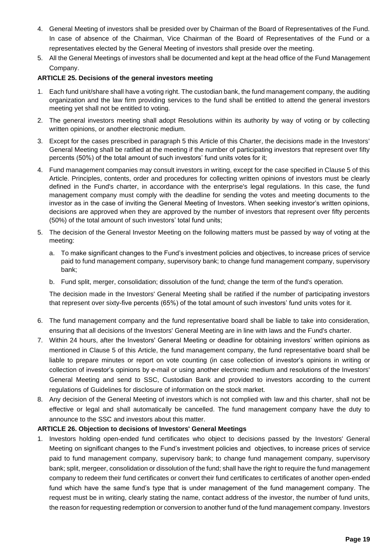- 4. General Meeting of investors shall be presided over by Chairman of the Board of Representatives of the Fund. In case of absence of the Chairman, Vice Chairman of the Board of Representatives of the Fund or a representatives elected by the General Meeting of investors shall preside over the meeting.
- 5. All the General Meetings of investors shall be documented and kept at the head office of the Fund Management Company.

#### **ARTICLE 25. Decisions of the general investors meeting**

- 1. Each fund unit/share shall have a voting right. The custodian bank, the fund management company, the auditing organization and the law firm providing services to the fund shall be entitled to attend the general investors meeting yet shall not be entitled to voting.
- 2. The general investors meeting shall adopt Resolutions within its authority by way of voting or by collecting written opinions, or another electronic medium.
- 3. Except for the cases prescribed in paragraph 5 this Article of this Charter, the decisions made in the Investors' General Meeting shall be ratified at the meeting if the number of participating investors that represent over fifty percents (50%) of the total amount of such investors' fund units votes for it;
- 4. Fund management companies may consult investors in writing, except for the case specified in Clause 5 of this Article. Principles, contents, order and procedures for collecting written opinions of investors must be clearly defined in the Fund's charter, in accordance with the enterprise's legal regulations. In this case, the fund management company must comply with the deadline for sending the votes and meeting documents to the investor as in the case of inviting the General Meeting of Investors. When seeking investor's written opinions, decisions are approved when they are approved by the number of investors that represent over fifty percents (50%) of the total amount of such investors' total fund units;
- 5. The decision of the General Investor Meeting on the following matters must be passed by way of voting at the meeting:
	- a. To make significant changes to the Fund's investment policies and objectives, to increase prices of service paid to fund management company, supervisory bank; to change fund management company, supervisory bank;
	- b. Fund split, merger, consolidation; dissolution of the fund; change the term of the fund's operation.

The decision made in the Investors' General Meeting shall be ratified if the number of participating investors that represent over sixty-five percents (65%) of the total amount of such investors' fund units votes for it.

- 6. The fund management company and the fund representative board shall be liable to take into consideration, ensuring that all decisions of the Investors' General Meeting are in line with laws and the Fund's charter.
- 7. Within 24 hours, after the Investors' General Meeting or deadline for obtaining investors' written opinions as mentioned in Clause 5 of this Article, the fund management company, the fund representative board shall be liable to prepare minutes or report on vote counting (in case collection of investor's opinions in writing or collection of investor's opinions by e-mail or using another electronic medium and resolutions of the Investors' General Meeting and send to SSC, Custodian Bank and provided to investors according to the current regulations of Guidelines for disclosure of information on the stock market.
- 8. Any decision of the General Meeting of investors which is not complied with law and this charter, shall not be effective or legal and shall automatically be cancelled. The fund management company have the duty to announce to the SSC and investors about this matter.

#### **ARTICLE 26. Objection to decisions of Investors' General Meetings**

1. Investors holding open-ended fund certificates who object to decisions passed by the Investors' General Meeting on significant changes to the Fund's investment policies and objectives, to increase prices of service paid to fund management company, supervisory bank; to change fund management company, supervisory bank; split, mergeer, consolidation or dissolution of the fund; shall have the right to require the fund management company to redeem their fund certificates or convert their fund certificates to certificates of another open-ended fund which have the same fund's type that is under management of the fund management company. The request must be in writing, clearly stating the name, contact address of the investor, the number of fund units, the reason for requesting redemption or conversion to another fund of the fund management company. Investors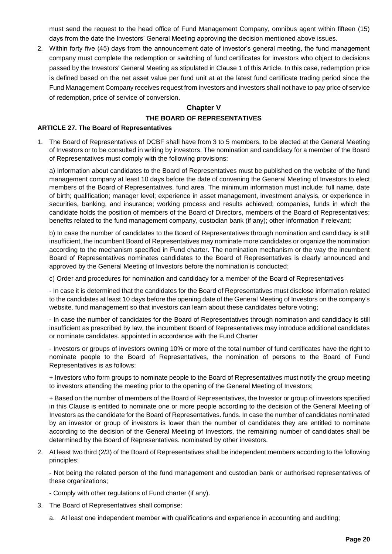must send the request to the head office of Fund Management Company, omnibus agent within fifteen (15) days from the date the Investors' General Meeting approving the decision mentioned above issues.

2. Within forty five (45) days from the announcement date of investor's general meeting, fhe fund management company must complete the redemption or switching of fund certificates for investors who object to decisions passed by the Investors' General Meeting as stipulated in Clause 1 of this Article. In this case, redemption price is defined based on the net asset value per fund unit at at the latest fund certificate trading period since the Fund Management Company receives request from investors and investors shall not have to pay price of service of redemption, price of service of conversion.

## **Chapter V THE BOARD OF REPRESENTATIVES**

### **ARTICLE 27. The Board of Representatives**

1. The Board of Representatives of DCBF shall have from 3 to 5 members, to be elected at the General Meeting of Investors or to be consulted in writing by investors. The nomination and candidacy for a member of the Board of Representatives must comply with the following provisions:

a) Information about candidates to the Board of Representatives must be published on the website of the fund management company at least 10 days before the date of convening the General Meeting of Investors to elect members of the Board of Representatives. fund area. The minimum information must include: full name, date of birth; qualification; manager level; experience in asset management, investment analysis, or experience in securities, banking, and insurance; working process and results achieved; companies, funds in which the candidate holds the position of members of the Board of Directors, members of the Board of Representatives; benefits related to the fund management company, custodian bank (if any); other information if relevant;

b) In case the number of candidates to the Board of Representatives through nomination and candidacy is still insufficient, the incumbent Board of Representatives may nominate more candidates or organize the nomination according to the mechanism specified in Fund charter. The nomination mechanism or the way the incumbent Board of Representatives nominates candidates to the Board of Representatives is clearly announced and approved by the General Meeting of Investors before the nomination is conducted;

c) Order and procedures for nomination and candidacy for a member of the Board of Representatives

- In case it is determined that the candidates for the Board of Representatives must disclose information related to the candidates at least 10 days before the opening date of the General Meeting of Investors on the company's website. fund management so that investors can learn about these candidates before voting;

- In case the number of candidates for the Board of Representatives through nomination and candidacy is still insufficient as prescribed by law, the incumbent Board of Representatives may introduce additional candidates or nominate candidates. appointed in accordance with the Fund Charter

- Investors or groups of investors owning 10% or more of the total number of fund certificates have the right to nominate people to the Board of Representatives, the nomination of persons to the Board of Fund Representatives is as follows:

+ Investors who form groups to nominate people to the Board of Representatives must notify the group meeting to investors attending the meeting prior to the opening of the General Meeting of Investors;

+ Based on the number of members of the Board of Representatives, the Investor or group of investors specified in this Clause is entitled to nominate one or more people according to the decision of the General Meeting of Investors as the candidate for the Board of Representatives. funds. In case the number of candidates nominated by an investor or group of investors is lower than the number of candidates they are entitled to nominate according to the decision of the General Meeting of Investors, the remaining number of candidates shall be determined by the Board of Representatives. nominated by other investors.

2. At least two third (2/3) of the Board of Representatives shall be independent members according to the following principles:

- Not being the related person of the fund management and custodian bank or authorised representatives of these organizations;

- Comply with other regulations of Fund charter (if any).
- 3. The Board of Representatives shall comprise:
	- a. At least one independent member with qualifications and experience in accounting and auditing;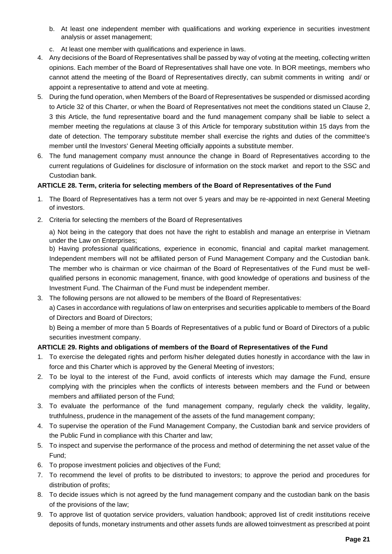- b. At least one independent member with qualifications and working experience in securities investment analysis or asset management;
- c. At least one member with qualifications and experience in laws.
- 4. Any decisions of the Board of Representatives shall be passed by way of voting at the meeting, collecting written opinions. Each member of the Board of Representatives shall have one vote. In BOR meetings, members who cannot attend the meeting of the Board of Representatives directly, can submit comments in writing and/ or appoint a representative to attend and vote at meeting.
- 5. During the fund operation, when Members of the Board of Representatives be suspended or dismissed acording to Article 32 of this Charter, or when the Board of Representatives not meet the conditions stated un Clause 2, 3 this Article, the fund representative board and the fund management company shall be liable to select a member meeting the regulations at clause 3 of this Article for temporary substitution within 15 days from the date of detection. The temporary substitute member shall exercise the rights and duties of the committee's member until the Investors' General Meeting officially appoints a substitute member.
- 6. The fund management company must announce the change in Board of Representatives according to the current regulations of Guidelines for disclosure of information on the stock market and report to the SSC and Custodian bank.

## **ARTICLE 28. Term, criteria for selecting members of the Board of Representatives of the Fund**

- 1. The Board of Representatives has a term not over 5 years and may be re-appointed in next General Meeting of investors.
- 2. Criteria for selecting the members of the Board of Representatives

a) Not being in the category that does not have the right to establish and manage an enterprise in Vietnam under the Law on Enterprises;

b) Having professional qualifications, experience in economic, financial and capital market management. Independent members will not be affiliated person of Fund Management Company and the Custodian bank. The member who is chairman or vice chairman of the Board of Representatives of the Fund must be wellqualified persons in economic management, finance, with good knowledge of operations and business of the Investment Fund. The Chairman of the Fund must be independent member.

3. The following persons are not allowed to be members of the Board of Representatives:

a) Cases in accordance with regulations of law on enterprises and securities applicable to members of the Board of Directors and Board of Directors;

b) Being a member of more than 5 Boards of Representatives of a public fund or Board of Directors of a public securities investment company.

## **ARTICLE 29. Rights and obligations of members of the Board of Representatives of the Fund**

- 1. To exercise the delegated rights and perform his/her delegated duties honestly in accordance with the law in force and this Charter which is approved by the General Meeting of investors;
- 2. To be loyal to the interest of the Fund, avoid conflicts of interests which may damage the Fund, ensure complying with the principles when the conflicts of interests between members and the Fund or between members and affiliated person of the Fund;
- 3. To evaluate the performance of the fund management company, regularly check the validity, legality, truthfulness, prudence in the management of the assets of the fund management company;
- 4. To supervise the operation of the Fund Management Company, the Custodian bank and service providers of the Public Fund in compliance with this Charter and law;
- 5. To inspect and supervise the performance of the process and method of determining the net asset value of the Fund;
- 6. To propose investment policies and objectives of the Fund;
- 7. To recommend the level of profits to be distributed to investors; to approve the period and procedures for distribution of profits;
- 8. To decide issues which is not agreed by the fund management company and the custodian bank on the basis of the provisions of the law;
- 9. To approve list of quotation service providers, valuation handbook; approved list of credit institutions receive deposits of funds, monetary instruments and other assets funds are allowed toinvestment as prescribed at point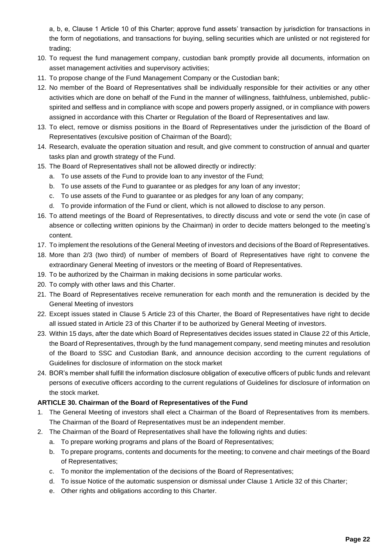a, b, e, Clause 1 Article 10 of this Charter; approve fund assets' transaction by jurisdiction for transactions in the form of negotiations, and transactions for buying, selling securities which are unlisted or not registered for trading;

- 10. To request the fund management company, custodian bank promptly provide all documents, information on asset management activities and supervisory activities;
- 11. To propose change of the Fund Management Company or the Custodian bank;
- 12. No member of the Board of Representatives shall be individually responsible for their activities or any other activities which are done on behalf of the Fund in the manner of willingness, faithfulness, unblemished, publicspirited and selfless and in compliance with scope and powers properly assigned, or in compliance with powers assigned in accordance with this Charter or Regulation of the Board of Representatives and law.
- 13. To elect, remove or dismiss positions in the Board of Representatives under the jurisdiction of the Board of Representatives (exculsive position of Chairman of the Board);
- 14. Research, evaluate the operation situation and result, and give comment to construction of annual and quarter tasks plan and growth strategy of the Fund.
- 15. The Board of Representatives shall not be allowed directly or indirectly:
	- a. To use assets of the Fund to provide loan to any investor of the Fund;
	- b. To use assets of the Fund to guarantee or as pledges for any loan of any investor;
	- c. To use assets of the Fund to guarantee or as pledges for any loan of any company;
	- d. To provide information of the Fund or client, which is not allowed to disclose to any person.
- 16. To attend meetings of the Board of Representatives, to directly discuss and vote or send the vote (in case of absence or collecting written opinions by the Chairman) in order to decide matters belonged to the meeting's content.
- 17. To implement the resolutions of the General Meeting of investors and decisions of the Board of Representatives.
- 18. More than 2/3 (two third) of number of members of Board of Representatives have right to convene the extraordinary General Meeting of investors or the meeting of Board of Representatives.
- 19. To be authorized by the Chairman in making decisions in some particular works.
- 20. To comply with other laws and this Charter.
- 21. The Board of Representatives receive remuneration for each month and the remuneration is decided by the General Meeting of investors
- 22. Except issues stated in Clause 5 Article 23 of this Charter, the Board of Representatives have right to decide all issued stated in Article 23 of this Charter if to be authorized by General Meeting of investors.
- 23. Within 15 days, after the date which Board of Representatives decides issues stated in Clause 22 of this Article, the Board of Representatives, through by the fund management company, send meeting minutes and resolution of the Board to SSC and Custodian Bank, and announce decision according to the current regulations of Guidelines for disclosure of information on the stock market
- 24. BOR's member shall fulfill the information disclosure obligation of executive officers of public funds and relevant persons of executive officers according to the current regulations of Guidelines for disclosure of information on the stock market.

## **ARTICLE 30. Chairman of the Board of Representatives of the Fund**

- 1. The General Meeting of investors shall elect a Chairman of the Board of Representatives from its members. The Chairman of the Board of Representatives must be an independent member.
- 2. The Chairman of the Board of Representatives shall have the following rights and duties:
	- a. To prepare working programs and plans of the Board of Representatives;
	- b. To prepare programs, contents and documents for the meeting; to convene and chair meetings of the Board of Representatives;
	- c. To monitor the implementation of the decisions of the Board of Representatives;
	- d. To issue Notice of the automatic suspension or dismissal under Clause 1 Article 32 of this Charter;
	- e. Other rights and obligations according to this Charter.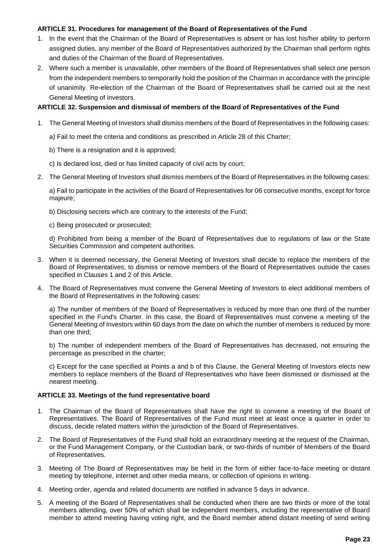#### **ARTICLE 31. Procedures for management of the Board of Representatives of the Fund**

- 1. In the event that the Chairman of the Board of Representatives is absent or has lost his/her ability to perform assigned duties, any member of the Board of Representatives authorized by the Chairman shall perform rights and duties of the Chairman of the Board of Representatives.
- 2. Where such a member is unavailable, other members of the Board of Representatives shall select one person from the independent members to temporarily hold the position of the Chairman in accordance with the principle of unanimity. Re-election of the Chairman of the Board of Representatives shall be carried out at the next General Meeting of investors.

#### **ARTICLE 32. Suspension and dismissal of members of the Board of Representatives of the Fund**

- 1. The General Meeting of Investors shall dismiss members of the Board of Representatives in the following cases:
	- a) Fail to meet the criteria and conditions as prescribed in Article 28 of this Charter;
	- b) There is a resignation and it is approved;
	- c) Is declared lost, died or has limited capacity of civil acts by court;
- 2. The General Meeting of Investors shall dismiss members of the Board of Representatives in the following cases:

a) Fail to participate in the activities of the Board of Representatives for 06 consecutive months, except for force majeure;

b) Disclosing secrets which are contrary to the interests of the Fund;

c) Being prosecuted or prosecuted;

d) Prohibited from being a member of the Board of Representatives due to regulations of law or the State Securities Commission and competent authorities.

- 3. When it is deemed necessary, the General Meeting of Investors shall decide to replace the members of the Board of Representatives; to dismiss or remove members of the Board of Representatives outside the cases specified in Clauses 1 and 2 of this Article.
- 4. The Board of Representatives must convene the General Meeting of Investors to elect additional members of the Board of Representatives in the following cases:

a) The number of members of the Board of Representatives is reduced by more than one third of the number specified in the Fund's Charter. In this case, the Board of Representatives must convene a meeting of the General Meeting of Investors within 60 days from the date on which the number of members is reduced by more than one third;

b) The number of independent members of the Board of Representatives has decreased, not ensuring the percentage as prescribed in the charter;

c) Except for the case specified at Points a and b of this Clause, the General Meeting of Investors elects new members to replace members of the Board of Representatives who have been dismissed or dismissed at the nearest meeting.

#### **ARTICLE 33. Meetings of the fund representative board**

- 1. The Chairman of the Board of Representatives shall have the right to convene a meeting of the Board of Representatives. The Board of Representatives of the Fund must meet at least once a quarter in order to discuss, decide related matters within the jurisdiction of the Board of Representatives.
- 2. The Board of Representatives of the Fund shall hold an extraordinary meeting at the request of the Chairman, or the Fund Management Company, or the Custodian bank, or two-thirds of number of Members of the Board of Representatives.
- 3. Meeting of The Board of Representatives may be held in the form of either face-to-face meeting or distant meeting by telephone, internet and other media means, or collection of opinions in writing.
- 4. Meeting order, agenda and related documents are notified in advance 5 days in advance.
- 5. A meeting of the Board of Representatives shall be conducted when there are two thirds or more of the total members attending, over 50% of which shall be independent members, including the representative of Board member to attend meeting having voting right, and the Board member attend distant meeting of send writing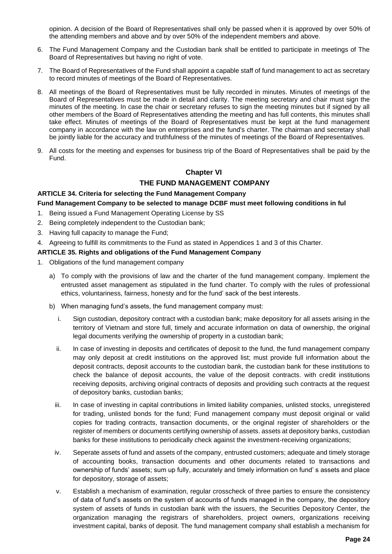opinion. A decision of the Board of Representatives shall only be passed when it is approved by over 50% of the attending members and above and by over 50% of the independent members and above.

- 6. The Fund Management Company and the Custodian bank shall be entitled to participate in meetings of The Board of Representatives but having no right of vote.
- 7. The Board of Representatives of the Fund shall appoint a capable staff of fund management to act as secretary to record minutes of meetings of the Board of Representatives.
- 8. All meetings of the Board of Representatives must be fully recorded in minutes. Minutes of meetings of the Board of Representatives must be made in detail and clarity. The meeting secretary and chair must sign the minutes of the meeting. In case the chair or secretary refuses to sign the meeting minutes but if signed by all other members of the Board of Representatives attending the meeting and has full contents, this minutes shall take effect. Minutes of meetings of the Board of Representatives must be kept at the fund management company in accordance with the law on enterprises and the fund's charter. The chairman and secretary shall be jointly liable for the accuracy and truthfulness of the minutes of meetings of the Board of Representatives.
- 9. All costs for the meeting and expenses for business trip of the Board of Representatives shall be paid by the Fund.

## **Chapter VI**

## **THE FUND MANAGEMENT COMPANY**

#### **ARTICLE 34. Criteria for selecting the Fund Management Company**

#### **Fund Management Company to be selected to manage DCBF must meet following conditions in ful**

- 1. Being issued a Fund Management Operating License by SS
- 2. Being completely independent to the Custodian bank;
- 3. Having full capacity to manage the Fund;
- 4. Agreeing to fulfill its commitments to the Fund as stated in Appendices 1 and 3 of this Charter.

#### **ARTICLE 35. Rights and obligations of the Fund Management Company**

- 1. Obligations of the fund management company
	- a) To comply with the provisions of law and the charter of the fund management company. Implement the entrusted asset management as stipulated in the fund charter. To comply with the rules of professional ethics, voluntariness, fairness, honesty and for the fund' sack of the best interests.
	- b) When managing fund's assets, the fund management company must:
		- i. Sign custodian, depository contract with a custodian bank; make depository for all assets arising in the territory of Vietnam and store full, timely and accurate information on data of ownership, the original legal documents verifying the ownership of property in a custodian bank;
		- ii. In case of investing in deposits and certificates of deposit to the fund, the fund management company may only deposit at credit institutions on the approved list; must provide full information about the deposit contracts, deposit accounts to the custodian bank, the custodian bank for these institutions to check the balance of deposit accounts, the value of the deposit contracts. with credit institutions receiving deposits, archiving original contracts of deposits and providing such contracts at the request of depository banks, custodian banks;
		- iii. In case of investing in capital contributions in limited liability companies, unlisted stocks, unregistered for trading, unlisted bonds for the fund; Fund management company must deposit original or valid copies for trading contracts, transaction documents, or the original register of shareholders or the register of members or documents certifying ownership of assets. assets at depository banks, custodian banks for these institutions to periodically check against the investment-receiving organizations;
		- iv. Seperate assets of fund and assets of the company, entrusted customers; adequate and timely storage of accounting books, transaction documents and other documents related to transactions and ownership of funds' assets; sum up fully, accurately and timely information on fund' s assets and place for depository, storage of assets;
		- v. Establish a mechanism of examination, regular crosscheck of three parties to ensure the consistency of data of fund's assets on the system of accounts of funds managed in the company, the depository system of assets of funds in custodian bank with the issuers, the Securities Depository Center, the organization managing the registrars of shareholders, project owners, organizations receiving investment capital, banks of deposit. The fund management company shall establish a mechanism for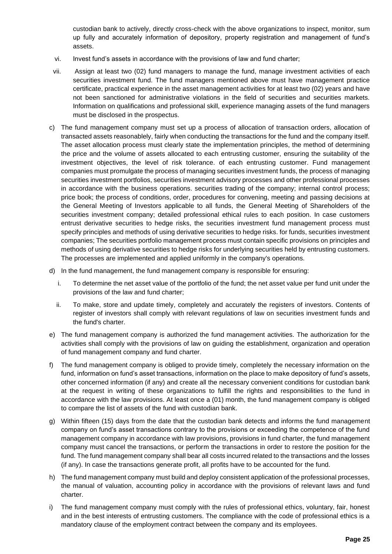custodian bank to actively, directly cross-check with the above organizations to inspect, monitor, sum up fully and accurately information of depository, property registration and management of fund's assets.

- vi. Invest fund's assets in accordance with the provisions of law and fund charter;
- vii. Assign at least two (02) fund managers to manage the fund, manage investment activities of each securities investment fund. The fund managers mentioned above must have management practice certificate, practical experience in the asset management activities for at least two (02) years and have not been sanctioned for administrative violations in the field of securities and securities markets. Information on qualifications and professional skill, experience managing assets of the fund managers must be disclosed in the prospectus.
- c) The fund management company must set up a process of allocation of transaction orders, allocation of transacted assets reasonablely, fairly when conducting the transactions for the fund and the company itself. The asset allocation process must clearly state the implementation principles, the method of determining the price and the volume of assets allocated to each entrusting customer, ensuring the suitability of the investment objectives, the level of risk tolerance. of each entrusting customer. Fund management companies must promulgate the process of managing securities investment funds, the process of managing securities investment portfolios, securities investment advisory processes and other professional processes in accordance with the business operations. securities trading of the company; internal control process; price book; the process of conditions, order, procedures for convening, meeting and passing decisions at the General Meeting of Investors applicable to all funds, the General Meeting of Shareholders of the securities investment company; detailed professional ethical rules to each position. In case customers entrust derivative securities to hedge risks, the securities investment fund management process must specify principles and methods of using derivative securities to hedge risks. for funds, securities investment companies; The securities portfolio management process must contain specific provisions on principles and methods of using derivative securities to hedge risks for underlying securities held by entrusting customers. The processes are implemented and applied uniformly in the company's operations.
- d) In the fund management, the fund management company is responsible for ensuring:
	- i. To determine the net asset value of the portfolio of the fund; the net asset value per fund unit under the provisions of the law and fund charter;
	- ii. To make, store and update timely, completely and accurately the registers of investors. Contents of register of investors shall comply with relevant regulations of law on securities investment funds and the fund's charter.
- e) The fund management company is authorized the fund management activities. The authorization for the activities shall comply with the provisions of law on guiding the establishment, organization and operation of fund management company and fund charter.
- f) The fund management company is obliged to provide timely, completely the necessary information on the fund, information on fund's asset transactions, information on the place to make depository of fund's assets, other concerned information (if any) and create all the necessary convenient conditions for custodian bank at the request in writing of these organizations to fulfill the rights and responsibilities to the fund in accordance with the law provisions. At least once a (01) month, the fund management company is obliged to compare the list of assets of the fund with custodian bank.
- g) Within fifteen (15) days from the date that the custodian bank detects and informs the fund management company on fund's asset transactions contrary to the provisions or exceeding the competence of the fund management company in accordance with law provisions, provisions in fund charter, the fund management company must cancel the transactions, or perform the transactions in order to restore the position for the fund. The fund management company shall bear all costs incurred related to the transactions and the losses (if any). In case the transactions generate profit, all profits have to be accounted for the fund.
- h) The fund management company must build and deploy consistent application of the professional processes, the manual of valuation, accounting policy in accordance with the provisions of relevant laws and fund charter.
- i) The fund management company must comply with the rules of professional ethics, voluntary, fair, honest and in the best interests of entrusting customers. The compliance with the code of professional ethics is a mandatory clause of the employment contract between the company and its employees.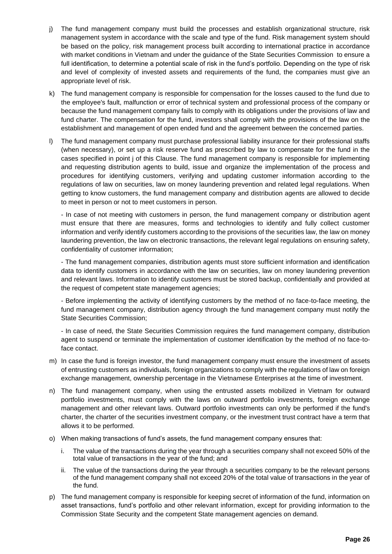- j) The fund management company must build the processes and establish organizational structure, risk management system in accordance with the scale and type of the fund. Risk management system should be based on the policy, risk management process built according to international practice in accordance with market conditions in Vietnam and under the guidance of the State Securities Commission to ensure a full identification, to determine a potential scale of risk in the fund's portfolio. Depending on the type of risk and level of complexity of invested assets and requirements of the fund, the companies must give an appropriate level of risk.
- k) The fund management company is responsible for compensation for the losses caused to the fund due to the employee's fault, malfunction or error of technical system and professional process of the company or because the fund management company fails to comply with its obligations under the provisions of law and fund charter. The compensation for the fund, investors shall comply with the provisions of the law on the establishment and management of open ended fund and the agreement between the concerned parties.
- l) The fund management company must purchase professional liability insurance for their professional staffs (when necessary), or set up a risk reserve fund as prescribed by law to compensate for the fund in the cases specified in point j of this Clause. The fund management company is responsible for implementing and requesting distribution agents to build, issue and organize the implementation of the process and procedures for identifying customers, verifying and updating customer information according to the regulations of law on securities, law on money laundering prevention and related legal regulations. When getting to know customers, the fund management company and distribution agents are allowed to decide to meet in person or not to meet customers in person.

- In case of not meeting with customers in person, the fund management company or distribution agent must ensure that there are measures, forms and technologies to identify and fully collect customer information and verify identify customers according to the provisions of the securities law, the law on money laundering prevention, the law on electronic transactions, the relevant legal regulations on ensuring safety, confidentiality of customer information;

- The fund management companies, distribution agents must store sufficient information and identification data to identify customers in accordance with the law on securities, law on money laundering prevention and relevant laws. Information to identify customers must be stored backup, confidentially and provided at the request of competent state management agencies;

- Before implementing the activity of identifying customers by the method of no face-to-face meeting, the fund management company, distribution agency through the fund management company must notify the State Securities Commission;

- In case of need, the State Securities Commission requires the fund management company, distribution agent to suspend or terminate the implementation of customer identification by the method of no face-toface contact.

- m) In case the fund is foreign investor, the fund management company must ensure the investment of assets of entrusting customers as individuals, foreign organizations to comply with the regulations of law on foreign exchange management, ownership percentage in the Vietnamese Enterprises at the time of investment.
- n) The fund management company, when using the entrusted assets mobilized in Vietnam for outward portfolio investments, must comply with the laws on outward portfolio investments, foreign exchange management and other relevant laws. Outward portfolio investments can only be performed if the fund's charter, the charter of the securities investment company, or the investment trust contract have a term that allows it to be performed.
- o) When making transactions of fund's assets, the fund management company ensures that:
	- i. The value of the transactions during the year through a securities company shall not exceed 50% of the total value of transactions in the year of the fund; and
	- ii. The value of the transactions during the year through a securities company to be the relevant persons of the fund management company shall not exceed 20% of the total value of transactions in the year of the fund.
- p) The fund management company is responsible for keeping secret of information of the fund, information on asset transactions, fund's portfolio and other relevant information, except for providing information to the Commission State Security and the competent State management agencies on demand.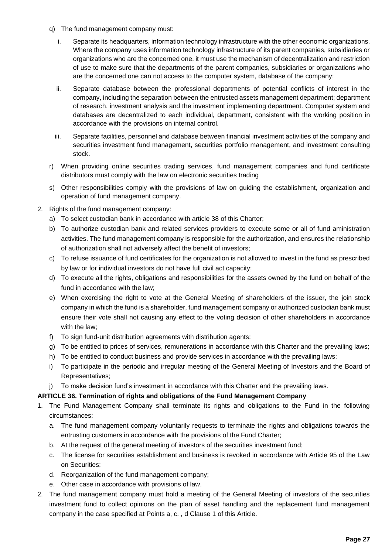- q) The fund management company must:
	- i. Separate its headquarters, information technology infrastructure with the other economic organizations. Where the company uses information technology infrastructure of its parent companies, subsidiaries or organizations who are the concerned one, it must use the mechanism of decentralization and restriction of use to make sure that the departments of the parent companies, subsidiaries or organizations who are the concerned one can not access to the computer system, database of the company;
	- ii. Separate database between the professional departments of potential conflicts of interest in the company, including the separation between the entrusted assets management department; department of research, investment analysis and the investment implementing department. Computer system and databases are decentralized to each individual, department, consistent with the working position in accordance with the provisions on internal control.
	- iii. Separate facilities, personnel and database between financial investment activities of the company and securities investment fund management, securities portfolio management, and investment consulting stock.
- r) When providing online securities trading services, fund management companies and fund certificate distributors must comply with the law on electronic securities trading
- s) Other responsibilities comply with the provisions of law on guiding the establishment, organization and operation of fund management company.
- 2. Rights of the fund management company:
	- a) To select custodian bank in accordance with article 38 of this Charter;
	- b) To authorize custodian bank and related services providers to execute some or all of fund aministration activities. The fund management company is responsible for the authorization, and ensures the relationship of authorization shall not adversely affect the benefit of investors;
	- c) To refuse issuance of fund certificates for the organization is not allowed to invest in the fund as prescribed by law or for individual investors do not have full civil act capacity;
	- d) To execute all the rights, obligations and responsibilities for the assets owned by the fund on behalf of the fund in accordance with the law;
	- e) When exercising the right to vote at the General Meeting of shareholders of the issuer, the join stock company in which the fund is a shareholder, fund management company or authorized custodian bank must ensure their vote shall not causing any effect to the voting decision of other shareholders in accordance with the law;
	- f) To sign fund-unit distribution agreements with distribution agents;
	- g) To be entitled to prices of services, remunerations in accordance with this Charter and the prevailing laws;
	- h) To be entitled to conduct business and provide services in accordance with the prevailing laws;
	- i) To participate in the periodic and irregular meeting of the General Meeting of Investors and the Board of Representatives;
	- j) To make decision fund's investment in accordance with this Charter and the prevailing laws.

## **ARTICLE 36. Termination of rights and obligations of the Fund Management Company**

- 1. The Fund Management Company shall terminate its rights and obligations to the Fund in the following circumstances:
	- a. The fund management company voluntarily requests to terminate the rights and obligations towards the entrusting customers in accordance with the provisions of the Fund Charter;
	- b. At the request of the general meeting of investors of the securities investment fund;
	- c. The license for securities establishment and business is revoked in accordance with Article 95 of the Law on Securities;
	- d. Reorganization of the fund management company;
	- e. Other case in accordance with provisions of law.
- 2. The fund management company must hold a meeting of the General Meeting of investors of the securities investment fund to collect opinions on the plan of asset handling and the replacement fund management company in the case specified at Points a, c. , d Clause 1 of this Article.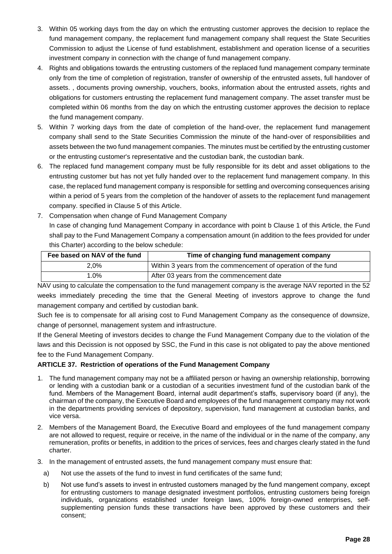- 3. Within 05 working days from the day on which the entrusting customer approves the decision to replace the fund management company, the replacement fund management company shall request the State Securities Commission to adjust the License of fund establishment, establishment and operation license of a securities investment company in connection with the change of fund management company.
- 4. Rights and obligations towards the entrusting customers of the replaced fund management company terminate only from the time of completion of registration, transfer of ownership of the entrusted assets, full handover of assets. , documents proving ownership, vouchers, books, information about the entrusted assets, rights and obligations for customers entrusting the replacement fund management company. The asset transfer must be completed within 06 months from the day on which the entrusting customer approves the decision to replace the fund management company.
- 5. Within 7 working days from the date of completion of the hand-over, the replacement fund management company shall send to the State Securities Commission the minute of the hand-over of responsibilities and assets between the two fund management companies. The minutes must be certified by the entrusting customer or the entrusting customer's representative and the custodian bank, the custodian bank.
- 6. The replaced fund management company must be fully responsible for its debt and asset obligations to the entrusting customer but has not yet fully handed over to the replacement fund management company. In this case, the replaced fund management company is responsible for settling and overcoming consequences arising within a period of 5 years from the completion of the handover of assets to the replacement fund management company. specified in Clause 5 of this Article.
- 7. Compensation when change of Fund Management Company In case of changing fund Management Company in accordance with point b Clause 1 of this Article, the Fund shall pay to the Fund Management Company a compensation amount (in addition to the fees provided for under this Charter) according to the below schedule:

| Fee based on NAV of the fund | Time of changing fund management company                      |
|------------------------------|---------------------------------------------------------------|
| $2.0\%$                      | Within 3 years from the commencement of operation of the fund |
| $.0\%$                       | After 03 years from the commencement date                     |

NAV using to calculate the compensation to the fund management company is the average NAV reported in the 52 weeks immediately preceding the time that the General Meeting of investors approve to change the fund management company and certified by custodian bank.

Such fee is to compensate for all arising cost to Fund Management Company as the consequence of downsize, change of personnel, management system and infrastructure.

If the General Meeting of investors decides to change the Fund Management Company due to the violation of the laws and this Decission is not opposed by SSC, the Fund in this case is not obligated to pay the above mentioned fee to the Fund Management Company.

## **ARTICLE 37. Restriction of operations of the Fund Management Company**

- 1. The fund management company may not be a affiliated person or having an ownership relationship, borrowing or lending with a custodian bank or a custodian of a securities investment fund of the custodian bank of the fund. Members of the Management Board, internal audit department's staffs, supervisory board (if any), the chairman of the company, the Executive Board and employees of the fund management company may not work in the departments providing services of depository, supervision, fund management at custodian banks, and vice versa.
- 2. Members of the Management Board, the Executive Board and employees of the fund management company are not allowed to request, require or receive, in the name of the individual or in the name of the company, any remuneration, profits or benefits, in addition to the prices of services, fees and charges clearly stated in the fund charter.
- 3. In the management of entrusted assets, the fund management company must ensure that:
	- a) Not use the assets of the fund to invest in fund certificates of the same fund;
	- b) Not use fund's assets to invest in entrusted customers managed by the fund mangement company, except for entrusting customers to manage designated investment portfolios, entrusting customers being foreign individuals, organizations established under foreign laws, 100% foreign-owned enterprises, selfsupplementing pension funds these transactions have been approved by these customers and their consent;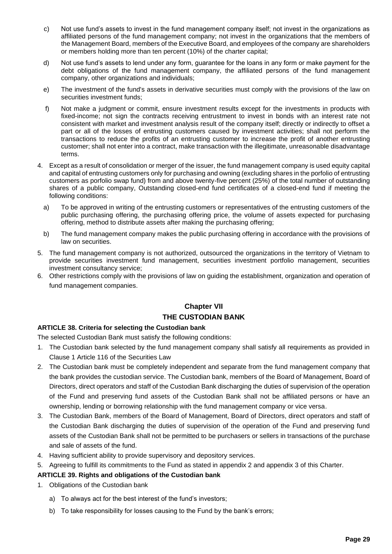- c) Not use fund's assets to invest in the fund management company itself; not invest in the organizations as affiliated persons of the fund management company; not invest in the organizations that the members of the Management Board, members of the Executive Board, and employees of the company are shareholders or members holding more than ten percent (10%) of the charter capital;
- d) Not use fund's assets to lend under any form, guarantee for the loans in any form or make payment for the debt obligations of the fund management company, the affiliated persons of the fund management company, other organizations and individuals;
- e) The investment of the fund's assets in derivative securities must comply with the provisions of the law on securities investment funds;
- f) Not make a judgment or commit, ensure investment results except for the investments in products with fixed-income; not sign the contracts receiving entrustment to invest in bonds with an interest rate not consistent with market and investment analysis result of the company itself; directly or indirectly to offset a part or all of the losses of entrusting customers caused by investment activities; shall not perform the transactions to reduce the profits of an entrusting customer to increase the profit of another entrusting customer; shall not enter into a contract, make transaction with the illegitimate, unreasonable disadvantage terms.
- 4. Except as a result of consolidation or merger of the issuer, the fund management company is used equity capital and capital of entrusting customers only for purchasing and owning (excluding shares in the porfolio of entrusting customers as porfolio swap fund) from and above twenty-five percent (25%) of the total number of outstanding shares of a public company, Outstanding closed-end fund certificates of a closed-end fund if meeting the following conditions:
	- a) To be approved in writing of the entrusting customers or representatives of the entrusting customers of the public purchasing offering, the purchasing offering price, the volume of assets expected for purchasing offering, method to distribute assets after making the purchasing offering;
	- b) The fund management company makes the public purchasing offering in accordance with the provisions of law on securities.
- 5. The fund management company is not authorized, outsourced the organizations in the territory of Vietnam to provide securities investment fund management, securities investment portfolio management, securities investment consultancy service;
- 6. Other restrictions comply with the provisions of law on guiding the establishment, organization and operation of fund management companies.

## **Chapter VII THE CUSTODIAN BANK**

## **ARTICLE 38. Criteria for selecting the Custodian bank**

The selected Custodian Bank must satisfy the following conditions:

- 1. The Custodian bank selected by the fund management company shall satisfy all requirements as provided in Clause 1 Article 116 of the Securities Law
- 2. The Custodian bank must be completely independent and separate from the fund management company that the bank provides the custodian service. The Custodian bank, members of the Board of Management, Board of Directors, direct operators and staff of the Custodian Bank discharging the duties of supervision of the operation of the Fund and preserving fund assets of the Custodian Bank shall not be affiliated persons or have an ownership, lending or borrowing relationship with the fund management company or vice versa.
- 3. The Custodian Bank, members of the Board of Management, Board of Directors, direct operators and staff of the Custodian Bank discharging the duties of supervision of the operation of the Fund and preserving fund assets of the Custodian Bank shall not be permitted to be purchasers or sellers in transactions of the purchase and sale of assets of the fund.
- 4. Having sufficient ability to provide supervisory and depository services.
- 5. Agreeing to fulfill its commitments to the Fund as stated in appendix 2 and appendix 3 of this Charter.

## **ARTICLE 39. Rights and obligations of the Custodian bank**

- 1. Obligations of the Custodian bank
	- a) To always act for the best interest of the fund's investors;
	- b) To take responsibility for losses causing to the Fund by the bank's errors;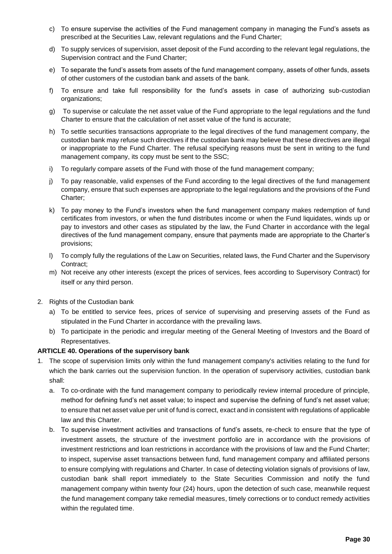- c) To ensure supervise the activities of the Fund management company in managing the Fund's assets as prescribed at the Securities Law, relevant regulations and the Fund Charter;
- d) To supply services of supervision, asset deposit of the Fund according to the relevant legal regulations, the Supervision contract and the Fund Charter;
- e) To separate the fund's assets from assets of the fund management company, assets of other funds, assets of other customers of the custodian bank and assets of the bank.
- f) To ensure and take full responsibility for the fund's assets in case of authorizing sub-custodian organizations;
- g) To supervise or calculate the net asset value of the Fund appropriate to the legal regulations and the fund Charter to ensure that the calculation of net asset value of the fund is accurate;
- h) To settle securities transactions appropriate to the legal directives of the fund management company, the custodian bank may refuse such directives if the custodian bank may believe that these directives are illegal or inappropriate to the Fund Charter. The refusal specifying reasons must be sent in writing to the fund management company, its copy must be sent to the SSC;
- i) To regularly compare assets of the Fund with those of the fund management company;
- j) To pay reasonable, valid expenses of the Fund according to the legal directives of the fund management company, ensure that such expenses are appropriate to the legal regulations and the provisions of the Fund Charter;
- k) To pay money to the Fund's investors when the fund management company makes redemption of fund certificates from investors, or when the fund distributes income or when the Fund liquidates, winds up or pay to investors and other cases as stipulated by the law, the Fund Charter in accordance with the legal directives of the fund management company, ensure that payments made are appropriate to the Charter's provisions;
- l) To comply fully the regulations of the Law on Securities, related laws, the Fund Charter and the Supervisory Contract;
- m) Not receive any other interests (except the prices of services, fees according to Supervisory Contract) for itself or any third person.
- 2. Rights of the Custodian bank
	- a) To be entitled to service fees, prices of service of supervising and preserving assets of the Fund as stipulated in the Fund Charter in accordance with the prevailing laws.
	- b) To participate in the periodic and irregular meeting of the General Meeting of Investors and the Board of Representatives.

## **ARTICLE 40. Operations of the supervisory bank**

- 1. The scope of supervision limits only within the fund management company's activities relating to the fund for which the bank carries out the supervision function. In the operation of supervisory activities, custodian bank shall:
	- a. To co-ordinate with the fund management company to periodically review internal procedure of principle, method for defining fund's net asset value; to inspect and supervise the defining of fund's net asset value; to ensure that net asset value per unit of fund is correct, exact and in consistent with regulations of applicable law and this Charter.
	- b. To supervise investment activities and transactions of fund's assets, re-check to ensure that the type of investment assets, the structure of the investment portfolio are in accordance with the provisions of investment restrictions and loan restrictions in accordance with the provisions of law and the Fund Charter; to inspect, supervise asset transactions between fund, fund management company and affiliated persons to ensure complying with regulations and Charter. In case of detecting violation signals of provisions of law, custodian bank shall report immediately to the State Securities Commission and notify the fund management company within twenty four (24) hours, upon the detection of such case, meanwhile request the fund management company take remedial measures, timely corrections or to conduct remedy activities within the regulated time.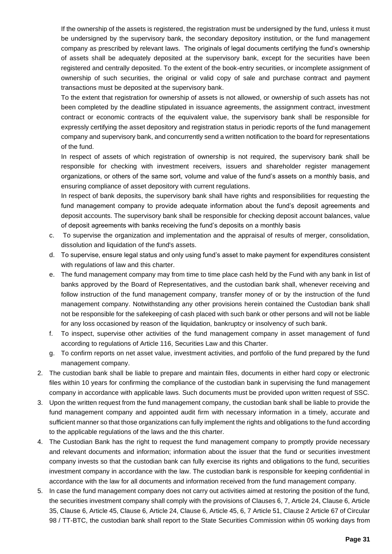If the ownership of the assets is registered, the registration must be undersigned by the fund, unless it must be undersigned by the supervisory bank, the secondary depository institution, or the fund management company as prescribed by relevant laws. The originals of legal documents certifying the fund's ownership of assets shall be adequately deposited at the supervisory bank, except for the securities have been registered and centrally deposited. To the extent of the book-entry securities, or incomplete assignment of ownership of such securities, the original or valid copy of sale and purchase contract and payment transactions must be deposited at the supervisory bank.

To the extent that registration for ownership of assets is not allowed, or ownership of such assets has not been completed by the deadline stipulated in issuance agreements, the assignment contract, investment contract or economic contracts of the equivalent value, the supervisory bank shall be responsible for expressly certifying the asset depository and registration status in periodic reports of the fund management company and supervisory bank, and concurrently send a written notification to the board for representations of the fund.

In respect of assets of which registration of ownership is not required, the supervisory bank shall be responsible for checking with investment receivers, issuers and shareholder register management organizations, or others of the same sort, volume and value of the fund's assets on a monthly basis, and ensuring compliance of asset depository with current regulations.

In respect of bank deposits, the supervisory bank shall have rights and responsibilities for requesting the fund management company to provide adequate information about the fund's deposit agreements and deposit accounts. The supervisory bank shall be responsible for checking deposit account balances, value of deposit agreements with banks receiving the fund's deposits on a monthly basis

- c. To supervise the organization and implementation and the appraisal of results of merger, consolidation, dissolution and liquidation of the fund's assets.
- d. To supervise, ensure legal status and only using fund's asset to make payment for expenditures consistent with regulations of law and this charter.
- e. The fund management company may from time to time place cash held by the Fund with any bank in list of banks approved by the Board of Representatives, and the custodian bank shall, whenever receiving and follow instruction of the fund management company, transfer money of or by the instruction of the fund management company. Notwithstanding any other provisions herein contained the Custodian bank shall not be responsible for the safekeeping of cash placed with such bank or other persons and will not be liable for any loss occasioned by reason of the liquidation, bankruptcy or insolvency of such bank.
- f. To inspect, supervise other activities of the fund management company in asset management of fund according to regulations of Article 116, Securities Law and this Charter.
- g. To confirm reports on net asset value, investment activities, and portfolio of the fund prepared by the fund management company.
- 2. The custodian bank shall be liable to prepare and maintain files, documents in either hard copy or electronic files within 10 years for confirming the compliance of the custodian bank in supervising the fund management company in accordance with applicable laws. Such documents must be provided upon written request of SSC.
- 3. Upon the written request from the fund management company, the custodian bank shall be liable to provide the fund management company and appointed audit firm with necessary information in a timely, accurate and sufficient manner so that those organizations can fully implement the rights and obligations to the fund according to the applicable regulations of the laws and the this charter.
- 4. The Custodian Bank has the right to request the fund management company to promptly provide necessary and relevant documents and information; information about the issuer that the fund or securities investment company invests so that the custodian bank can fully exercise its rights and obligations to the fund, securities investment company in accordance with the law. The custodian bank is responsible for keeping confidential in accordance with the law for all documents and information received from the fund management company.
- 5. In case the fund management company does not carry out activities aimed at restoring the position of the fund, the securities investment company shall comply with the provisions of Clauses 6, 7, Article 24, Clause 6, Article 35, Clause 6, Article 45, Clause 6, Article 24, Clause 6, Article 45, 6, 7 Article 51, Clause 2 Article 67 of Circular 98 / TT-BTC, the custodian bank shall report to the State Securities Commission within 05 working days from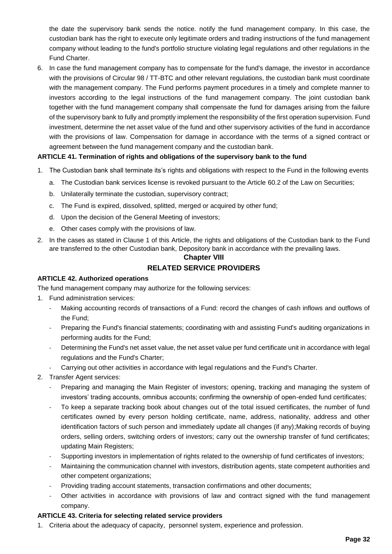the date the supervisory bank sends the notice. notify the fund management company. In this case, the custodian bank has the right to execute only legitimate orders and trading instructions of the fund management company without leading to the fund's portfolio structure violating legal regulations and other regulations in the Fund Charter.

6. In case the fund management company has to compensate for the fund's damage, the investor in accordance with the provisions of Circular 98 / TT-BTC and other relevant regulations, the custodian bank must coordinate with the management company. The Fund performs payment procedures in a timely and complete manner to investors according to the legal instructions of the fund management company. The joint custodian bank together with the fund management company shall compensate the fund for damages arising from the failure of the supervisory bank to fully and promptly implement the responsibility of the first operation supervision. Fund investment, determine the net asset value of the fund and other supervisory activities of the fund in accordance with the provisions of law. Compensation for damage in accordance with the terms of a signed contract or agreement between the fund management company and the custodian bank.

## **ARTICLE 41. Termination of rights and obligations of the supervisory bank to the fund**

- 1. The Custodian bank shall terminate its's rights and obligations with respect to the Fund in the following events
	- a. The Custodian bank services license is revoked pursuant to the Article 60.2 of the Law on Securities;
	- b. Unilaterally terminate the custodian, supervisory contract;
	- c. The Fund is expired, dissolved, splitted, merged or acquired by other fund;
	- d. Upon the decision of the General Meeting of investors;
	- e. Other cases comply with the provisions of law.
- 2. In the cases as stated in Clause 1 of this Article, the rights and obligations of the Custodian bank to the Fund are transferred to the other Custodian bank, Depository bank in accordance with the prevailing laws.

# **Chapter VIII**

#### **RELATED SERVICE PROVIDERS**

#### **ARTICLE 42. Authorized operations**

The fund management company may authorize for the following services:

- 1. Fund administration services:
	- Making accounting records of transactions of a Fund: record the changes of cash inflows and outflows of the Fund;
	- Preparing the Fund's financial statements; coordinating with and assisting Fund's auditing organizations in performing audits for the Fund;
	- Determining the Fund's net asset value, the net asset value per fund certificate unit in accordance with legal regulations and the Fund's Charter;
	- Carrying out other activities in accordance with legal regulations and the Fund's Charter.
- 2. Transfer Agent services:
	- Preparing and managing the Main Register of investors; opening, tracking and managing the system of investors' trading accounts, omnibus accounts; confirming the ownership of open-ended fund certificates;
	- To keep a separate tracking book about changes out of the total issued certificates, the number of fund certificates owned by every person holding certificate, name, address, nationality, address and other identification factors of such person and immediately update all changes (if any);Making records of buying orders, selling orders, switching orders of investors; carry out the ownership transfer of fund certificates; updating Main Registers;
	- Supporting investors in implementation of rights related to the ownership of fund certificates of investors;
	- Maintaining the communication channel with investors, distribution agents, state competent authorities and other competent organizations;
	- Providing trading account statements, transaction confirmations and other documents;
	- Other activities in accordance with provisions of law and contract signed with the fund management company.

#### **ARTICLE 43. Criteria for selecting related service providers**

1. Criteria about the adequacy of capacity, personnel system, experience and profession.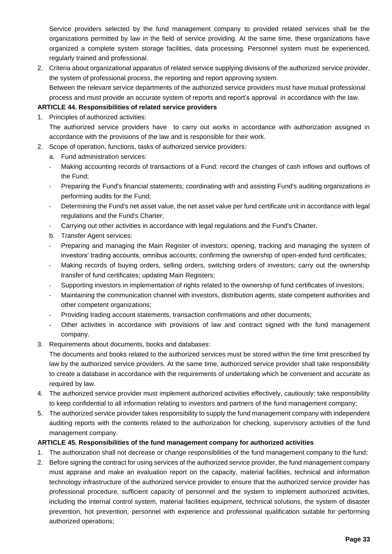Service providers selected by the fund management company to provided related services shall be the organizations permitted by law in the field of service providing. At the same time, these organizations have organized a complete system storage facilities, data processing. Personnel system must be experienced, regularly trained and professional.

2. Criteria about organizational apparatus of related service supplying divisions of the authorized service provider, the system of professional process, the reporting and report approving system. Between the relevant service departments of the authorized service providers must have mutual professional process and must provide an accurate system of reports and report's approval in accordance with the law.

### **ARTICLE 44. Responsibilities of related service providers**

- 1. Principles of authorized activities: The authorized service providers have to carry out works in accordance with authorization assigned in accordance with the provisions of the law and is responsible for their work.
- 2. Scope of operation, functions, tasks of authorized service providers:
	- a. Fund administration services:
	- Making accounting records of transactions of a Fund: record the changes of cash inflows and outflows of the Fund;
	- Preparing the Fund's financial statements; coordinating with and assisting Fund's auditing organizations in performing audits for the Fund;
	- Determining the Fund's net asset value, the net asset value per fund certificate unit in accordance with legal regulations and the Fund's Charter;
	- Carrying out other activities in accordance with legal regulations and the Fund's Charter.
	- b. Transfer Agent services:
	- Preparing and managing the Main Register of investors; opening, tracking and managing the system of investors' trading accounts, omnibus accounts; confirming the ownership of open-ended fund certificates;
	- Making records of buying orders, selling orders, switching orders of investors; carry out the ownership transfer of fund certificates; updating Main Registers;
	- Supporting investors in implementation of rights related to the ownership of fund certificates of investors;
	- Maintaining the communication channel with investors, distribution agents, state competent authorities and other competent organizations;
	- Providing trading account statements, transaction confirmations and other documents;
	- Other activities in accordance with provisions of law and contract signed with the fund management company.
- 3. Requirements about documents, books and databases:

The documents and books related to the authorized services must be stored within the time limit prescribed by law by the authorized service providers. At the same time, authorized service provider shall take responsibility to create a database in accordance with the requirements of undertaking which be convenient and accurate as required by law.

- 4. The authorized service provider must implement authorized activities effectively, cautiously; take responsibility to keep confidential to all information relating to investors and partners of the fund management company;
- 5. The authorized service provider takes responsibility to supply the fund management company with independent auditing reports with the contents related to the authorization for checking, supervisory activities of the fund management company.

#### **ARTICLE 45. Responsibilities of the fund management company for authorized activities**

- 1. The authorization shall not decrease or change responsibilities of the fund management company to the fund;
- 2. Before signing the contract for using services of the authorized service provider, the fund management company must appraise and make an evaluation report on the capacity, material facilities, technical and information technology infrastructure of the authorized service provider to ensure that the authorized service provider has professional procedure, sufficient capacity of personnel and the system to implement authorized activities, including the internal control system, material facilities equipment, technical solutions, the system of disaster prevention, hot prevention, personnel with experience and professional qualification suitable for performing authorized operations;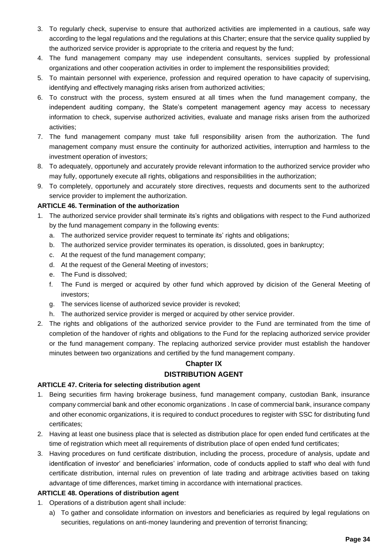- 3. To regularly check, supervise to ensure that authorized activities are implemented in a cautious, safe way according to the legal regulations and the regulations at this Charter; ensure that the service quality supplied by the authorized service provider is appropriate to the criteria and request by the fund;
- 4. The fund management company may use independent consultants, services supplied by professional organizations and other cooperation activities in order to implement the responsibilities provided;
- 5. To maintain personnel with experience, profession and required operation to have capacity of supervising, identifying and effectively managing risks arisen from authorized activities;
- 6. To construct with the process, system ensured at all times when the fund management company, the independent auditing company, the State's competent management agency may access to necessary information to check, supervise authorized activities, evaluate and manage risks arisen from the authorized activities;
- 7. The fund management company must take full responsibility arisen from the authorization. The fund management company must ensure the continuity for authorized activities, interruption and harmless to the investment operation of investors;
- 8. To adequately, opportunely and accurately provide relevant information to the authorized service provider who may fully, opportunely execute all rights, obligations and responsibilities in the authorization;
- 9. To completely, opportunely and accurately store directives, requests and documents sent to the authorized service provider to implement the authorization.

## **ARTICLE 46. Termination of the authorization**

- 1. The authorized service provider shall terminate its's rights and obligations with respect to the Fund authorized by the fund management company in the following events:
	- a. The authorized service provider request to terminate its' rights and obligations;
	- b. The authorized service provider terminates its operation, is dissoluted, goes in bankruptcy;
	- c. At the request of the fund management company;
	- d. At the request of the General Meeting of investors;
	- e. The Fund is dissolved;
	- f. The Fund is merged or acquired by other fund which approved by dicision of the General Meeting of investors;
	- g. The services license of authorized sevice provider is revoked;
	- h. The authorized service provider is merged or acquired by other service provider.
- 2. The rights and obligations of the authorized service provider to the Fund are terminated from the time of completion of the handover of rights and obligations to the Fund for the replacing authorized service provider or the fund management company. The replacing authorized service provider must establish the handover minutes between two organizations and certified by the fund management company.

## **Chapter IX**

## **DISTRIBUTION AGENT**

## **ARTICLE 47. Criteria for selecting distribution agent**

- 1. Being securities firm having brokerage business, fund management company, custodian Bank, insurance company commercial bank and other economic organizations . In case of commercial bank, insurance company and other economic organizations, it is required to conduct procedures to register with SSC for distributing fund certificates;
- 2. Having at least one business place that is selected as distribution place for open ended fund certificates at the time of registration which meet all requirements of distribution place of open ended fund certificates;
- 3. Having procedures on fund certificate distribution, including the process, procedure of analysis, update and identification of investor' and beneficiaries' information, code of conducts applied to staff who deal with fund certificate distribution, internal rules on prevention of late trading and arbitrage activities based on taking advantage of time differences, market timing in accordance with international practices.

## **ARTICLE 48. Operations of distribution agent**

- 1. Operations of a distribution agent shall include:
	- a) To gather and consolidate information on investors and beneficiaries as required by legal regulations on securities, regulations on anti-money laundering and prevention of terrorist financing;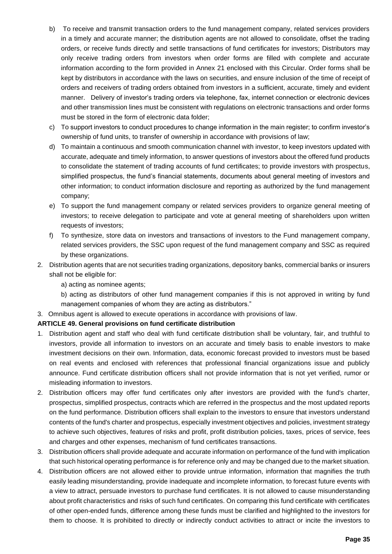- b) To receive and transmit transaction orders to the fund management company, related services providers in a timely and accurate manner; the distribution agents are not allowed to consolidate, offset the trading orders, or receive funds directly and settle transactions of fund certificates for investors; Distributors may only receive trading orders from investors when order forms are filled with complete and accurate information according to the form provided in Annex 21 enclosed with this Circular. Order forms shall be kept by distributors in accordance with the laws on securities, and ensure inclusion of the time of receipt of orders and receivers of trading orders obtained from investors in a sufficient, accurate, timely and evident manner. Delivery of investor's trading orders via telephone, fax, internet connection or electronic devices and other transmission lines must be consistent with regulations on electronic transactions and order forms must be stored in the form of electronic data folder;
- c) To support investors to conduct procedures to change information in the main register; to confirm investor's ownership of fund units, to transfer of ownership in accordance with provisions of law;
- d) To maintain a continuous and smooth communication channel with investor, to keep investors updated with accurate, adequate and timely information, to answer questions of investors about the offered fund products to consolidate the statement of trading accounts of fund certificates; to provide investors with prospectus, simplified prospectus, the fund's financial statements, documents about general meeting of investors and other information; to conduct information disclosure and reporting as authorized by the fund management company;
- e) To support the fund management company or related services providers to organize general meeting of investors; to receive delegation to participate and vote at general meeting of shareholders upon written requests of investors;
- f) To synthesize, store data on investors and transactions of investors to the Fund management company, related services providers, the SSC upon request of the fund management company and SSC as required by these organizations.
- 2. Distribution agents that are not securities trading organizations, depository banks, commercial banks or insurers shall not be eligible for:
	- a) acting as nominee agents;
	- b) acting as distributors of other fund management companies if this is not approved in writing by fund management companies of whom they are acting as distributors."
- 3. Omnibus agent is allowed to execute operations in accordance with provisions of law.

## **ARTICLE 49. General provisions on fund certificate distribution**

- 1. Distribution agent and staff who deal with fund certificate distribution shall be voluntary, fair, and truthful to investors, provide all information to investors on an accurate and timely basis to enable investors to make investment decisions on their own. Information, data, economic forecast provided to investors must be based on real events and enclosed with references that professional financial organizations issue and publicly announce. Fund certificate distribution officers shall not provide information that is not yet verified, rumor or misleading information to investors.
- 2. Distribution officers may offer fund certificates only after investors are provided with the fund's charter, prospectus, simplified prospectus, contracts which are referred in the prospectus and the most updated reports on the fund performance. Distribution officers shall explain to the investors to ensure that investors understand contents of the fund's charter and prospectus, especially investment objectives and policies, investment strategy to achieve such objectives, features of risks and profit, profit distribution policies, taxes, prices of service, fees and charges and other expenses, mechanism of fund certificates transactions.
- 3. Distribution officers shall provide adequate and accurate information on performance of the fund with implication that such historical operating performance is for reference only and may be changed due to the market situation.
- 4. Distribution officers are not allowed either to provide untrue information, information that magnifies the truth easily leading misunderstanding, provide inadequate and incomplete information, to forecast future events with a view to attract, persuade investors to purchase fund certificates. It is not allowed to cause misunderstanding about profit characteristics and risks of such fund certificates. On comparing this fund certificate with certificates of other open-ended funds, difference among these funds must be clarified and highlighted to the investors for them to choose. It is prohibited to directly or indirectly conduct activities to attract or incite the investors to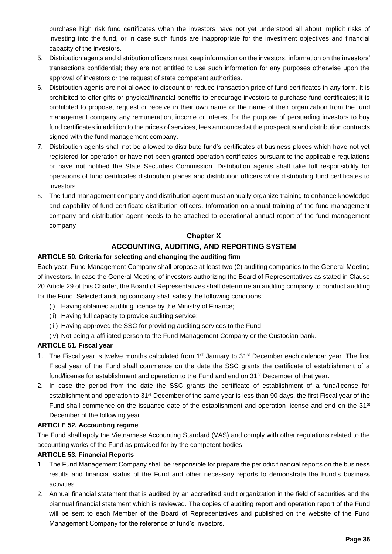purchase high risk fund certificates when the investors have not yet understood all about implicit risks of investing into the fund, or in case such funds are inappropriate for the investment objectives and financial capacity of the investors.

- 5. Distribution agents and distribution officers must keep information on the investors, information on the investors' transactions confidential; they are not entitled to use such information for any purposes otherwise upon the approval of investors or the request of state competent authorities.
- 6. Distribution agents are not allowed to discount or reduce transaction price of fund certificates in any form. It is prohibited to offer gifts or physical/financial benefits to encourage investors to purchase fund certificates; it is prohibited to propose, request or receive in their own name or the name of their organization from the fund management company any remuneration, income or interest for the purpose of persuading investors to buy fund certificates in addition to the prices of services, fees announced at the prospectus and distribution contracts signed with the fund management company.
- 7. Distribution agents shall not be allowed to distribute fund's certificates at business places which have not yet registered for operation or have not been granted operation certificates pursuant to the applicable regulations or have not notified the State Securities Commission. Distribution agents shall take full responsibility for operations of fund certificates distribution places and distribution officers while distributing fund certificates to investors.
- 8. The fund management company and distribution agent must annually organize training to enhance knowledge and capability of fund certificate distribution officers. Information on annual training of the fund management company and distribution agent needs to be attached to operational annual report of the fund management company

## **Chapter X**

## **ACCOUNTING, AUDITING, AND REPORTING SYSTEM**

## **ARTICLE 50. Criteria for selecting and changing the auditing firm**

Each year, Fund Management Company shall propose at least two (2) auditing companies to the General Meeting of investors. In case the General Meeting of investors authorizing the Board of Representatives as stated in Clause 20 Article 29 of this Charter, the Board of Representatives shall determine an auditing company to conduct auditing for the Fund. Selected auditing company shall satisfy the following conditions:

- (i) Having obtained auditing licence by the Ministry of Finance;
- (ii) Having full capacity to provide auditing service;
- (iii) Having approved the SSC for providing auditing services to the Fund;
- (iv) Not being a affiliated person to the Fund Management Company or the Custodian bank.

## **ARTICLE 51. Fiscal year**

- 1. The Fiscal year is twelve months calculated from 1<sup>st</sup> January to 31<sup>st</sup> December each calendar year. The first Fiscal year of the Fund shall commence on the date the SSC grants the certificate of establishment of a fund/license for establishment and operation to the Fund and end on 31<sup>st</sup> December of that year.
- 2. In case the period from the date the SSC grants the certificate of establishment of a fund/license for establishment and operation to 31st December of the same year is less than 90 days, the first Fiscal year of the Fund shall commence on the issuance date of the establishment and operation license and end on the 31<sup>st</sup> December of the following year.

## **ARTICLE 52. Accounting regime**

The Fund shall apply the Vietnamese Accounting Standard (VAS) and comply with other regulations related to the accounting works of the Fund as provided for by the competent bodies.

## **ARTICLE 53. Financial Reports**

- 1. The Fund Management Company shall be responsible for prepare the periodic financial reports on the business results and financial status of the Fund and other necessary reports to demonstrate the Fund's business activities.
- 2. Annual financial statement that is audited by an accredited audit organization in the field of securities and the biannual financial statement which is reviewed. The copies of auditing report and operation report of the Fund will be sent to each Member of the Board of Representatives and published on the website of the Fund Management Company for the reference of fund's investors.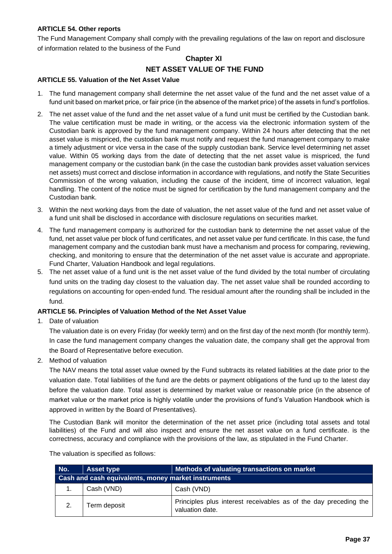### **ARTICLE 54. Other reports**

The Fund Management Company shall comply with the prevailing regulations of the law on report and disclosure of information related to the business of the Fund

## **Chapter XI**

## **NET ASSET VALUE OF THE FUND**

#### **ARTICLE 55. Valuation of the Net Asset Value**

- 1. The fund management company shall determine the net asset value of the fund and the net asset value of a fund unit based on market price, or fair price (in the absence of the market price) of the assets in fund's portfolios.
- 2. The net asset value of the fund and the net asset value of a fund unit must be certified by the Custodian bank. The value certification must be made in writing, or the access via the electronic information system of the Custodian bank is approved by the fund management company. Within 24 hours after detecting that the net asset value is mispriced, the custodian bank must notify and request the fund management company to make a timely adjustment or vice versa in the case of the supply custodian bank. Service level determining net asset value. Within 05 working days from the date of detecting that the net asset value is mispriced, the fund management company or the custodian bank (in the case the custodian bank provides asset valuation services net assets) must correct and disclose information in accordance with regulations, and notify the State Securities Commission of the wrong valuation, including the cause of the incident, time of incorrect valuation, legal handling. The content of the notice must be signed for certification by the fund management company and the Custodian bank.
- 3. Within the next working days from the date of valuation, the net asset value of the fund and net asset value of a fund unit shall be disclosed in accordance with disclosure regulations on securities market.
- 4. The fund management company is authorized for the custodian bank to determine the net asset value of the fund, net asset value per block of fund certificates, and net asset value per fund certificate. In this case, the fund management company and the custodian bank must have a mechanism and process for comparing, reviewing, checking, and monitoring to ensure that the determination of the net asset value is accurate and appropriate. Fund Charter, Valuation Handbook and legal regulations.
- 5. The net asset value of a fund unit is the net asset value of the fund divided by the total number of circulating fund units on the trading day closest to the valuation day. The net asset value shall be rounded according to regulations on accounting for open-ended fund. The residual amount after the rounding shall be included in the fund.

#### **ARTICLE 56. Principles of Valuation Method of the Net Asset Value**

1. Date of valuation

The valuation date is on every Friday (for weekly term) and on the first day of the next month (for monthly term). In case the fund management company changes the valuation date, the company shall get the approval from the Board of Representative before execution.

2. Method of valuation

The NAV means the total asset value owned by the Fund subtracts its related liabilities at the date prior to the valuation date. Total liabilities of the fund are the debts or payment obligations of the fund up to the latest day before the valuation date. Total asset is determined by market value or reasonable price (in the absence of market value or the market price is highly volatile under the provisions of fund's Valuation Handbook which is approved in written by the Board of Presentatives).

The Custodian Bank will monitor the determination of the net asset price (including total assets and total liabilities) of the Fund and will also inspect and ensure the net asset value on a fund certificate. is the correctness, accuracy and compliance with the provisions of the law, as stipulated in the Fund Charter.

The valuation is specified as follows:

| No.                                                 | <b>Asset type</b> | Methods of valuating transactions on market                                         |
|-----------------------------------------------------|-------------------|-------------------------------------------------------------------------------------|
| Cash and cash equivalents, money market instruments |                   |                                                                                     |
|                                                     | Cash (VND)        | Cash (VND)                                                                          |
| 2.                                                  | Term deposit      | Principles plus interest receivables as of the day preceding the<br>valuation date. |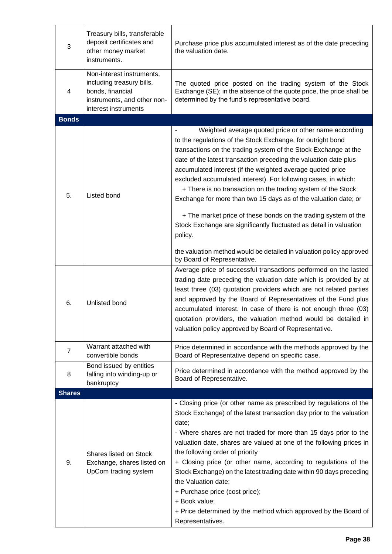| $\mathbf{3}$   | Treasury bills, transferable<br>deposit certificates and<br>other money market<br>instruments.                                    | Purchase price plus accumulated interest as of the date preceding<br>the valuation date.                                                                                                                                                                                                                                                                                                                                                                                                                                                                                                                                                                                                                                                                                                |
|----------------|-----------------------------------------------------------------------------------------------------------------------------------|-----------------------------------------------------------------------------------------------------------------------------------------------------------------------------------------------------------------------------------------------------------------------------------------------------------------------------------------------------------------------------------------------------------------------------------------------------------------------------------------------------------------------------------------------------------------------------------------------------------------------------------------------------------------------------------------------------------------------------------------------------------------------------------------|
| 4              | Non-interest instruments,<br>including treasury bills,<br>bonds, financial<br>instruments, and other non-<br>interest instruments | The quoted price posted on the trading system of the Stock<br>Exchange (SE); in the absence of the quote price, the price shall be<br>determined by the fund's representative board.                                                                                                                                                                                                                                                                                                                                                                                                                                                                                                                                                                                                    |
| <b>Bonds</b>   |                                                                                                                                   |                                                                                                                                                                                                                                                                                                                                                                                                                                                                                                                                                                                                                                                                                                                                                                                         |
| 5.             | Listed bond                                                                                                                       | Weighted average quoted price or other name according<br>to the regulations of the Stock Exchange, for outright bond<br>transactions on the trading system of the Stock Exchange at the<br>date of the latest transaction preceding the valuation date plus<br>accumulated interest (if the weighted average quoted price<br>excluded accumulated interest). For following cases, in which:<br>+ There is no transaction on the trading system of the Stock<br>Exchange for more than two 15 days as of the valuation date; or<br>+ The market price of these bonds on the trading system of the<br>Stock Exchange are significantly fluctuated as detail in valuation<br>policy.<br>the valuation method would be detailed in valuation policy approved<br>by Board of Representative. |
| 6.             | Unlisted bond                                                                                                                     | Average price of successful transactions performed on the lasted<br>trading date preceding the valuation date which is provided by at<br>least three (03) quotation providers which are not related parties<br>and approved by the Board of Representatives of the Fund plus<br>accumulated interest. In case of there is not enough three (03)<br>quotation providers, the valuation method would be detailed in<br>valuation policy approved by Board of Representative.                                                                                                                                                                                                                                                                                                              |
| $\overline{7}$ | Warrant attached with<br>convertible bonds                                                                                        | Price determined in accordance with the methods approved by the<br>Board of Representative depend on specific case.                                                                                                                                                                                                                                                                                                                                                                                                                                                                                                                                                                                                                                                                     |
| 8              | Bond issued by entities<br>falling into winding-up or<br>bankruptcy                                                               | Price determined in accordance with the method approved by the<br>Board of Representative.                                                                                                                                                                                                                                                                                                                                                                                                                                                                                                                                                                                                                                                                                              |
| <b>Shares</b>  |                                                                                                                                   |                                                                                                                                                                                                                                                                                                                                                                                                                                                                                                                                                                                                                                                                                                                                                                                         |
| 9.             | <b>Shares listed on Stock</b><br>Exchange, shares listed on<br>UpCom trading system                                               | - Closing price (or other name as prescribed by regulations of the<br>Stock Exchange) of the latest transaction day prior to the valuation<br>date;<br>- Where shares are not traded for more than 15 days prior to the<br>valuation date, shares are valued at one of the following prices in<br>the following order of priority<br>+ Closing price (or other name, according to regulations of the<br>Stock Exchange) on the latest trading date within 90 days preceding<br>the Valuation date;<br>+ Purchase price (cost price);<br>+ Book value;<br>+ Price determined by the method which approved by the Board of<br>Representatives.                                                                                                                                            |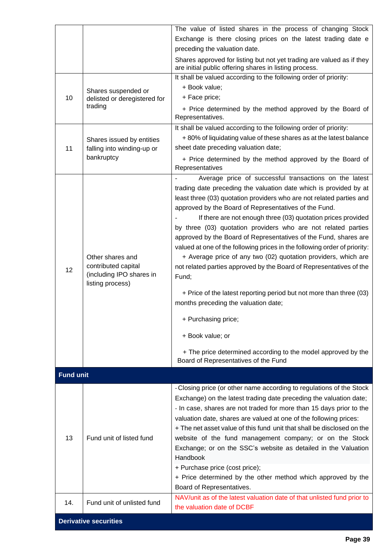|                              |                                              | The value of listed shares in the process of changing Stock                                                                               |
|------------------------------|----------------------------------------------|-------------------------------------------------------------------------------------------------------------------------------------------|
|                              |                                              | Exchange is there closing prices on the latest trading date e                                                                             |
|                              |                                              | preceding the valuation date.                                                                                                             |
|                              |                                              | Shares approved for listing but not yet trading are valued as if they<br>are initial public offering shares in listing process.           |
|                              |                                              | It shall be valued according to the following order of priority:                                                                          |
|                              | Shares suspended or                          | + Book value;                                                                                                                             |
| 10                           | delisted or deregistered for                 | + Face price;                                                                                                                             |
|                              | trading                                      | + Price determined by the method approved by the Board of<br>Representatives.                                                             |
|                              |                                              | It shall be valued according to the following order of priority:                                                                          |
|                              | Shares issued by entities                    | +80% of liquidating value of these shares as at the latest balance                                                                        |
| 11                           | falling into winding-up or                   | sheet date preceding valuation date;                                                                                                      |
|                              | bankruptcy                                   | + Price determined by the method approved by the Board of<br>Representatives                                                              |
|                              |                                              | Average price of successful transactions on the latest                                                                                    |
|                              |                                              | trading date preceding the valuation date which is provided by at                                                                         |
|                              |                                              | least three (03) quotation providers who are not related parties and                                                                      |
|                              |                                              | approved by the Board of Representatives of the Fund.<br>If there are not enough three (03) quotation prices provided                     |
|                              |                                              | by three (03) quotation providers who are not related parties                                                                             |
|                              |                                              | approved by the Board of Representatives of the Fund, shares are                                                                          |
|                              |                                              | valued at one of the following prices in the following order of priority:                                                                 |
|                              | Other shares and                             | + Average price of any two (02) quotation providers, which are                                                                            |
| 12                           | contributed capital                          | not related parties approved by the Board of Representatives of the                                                                       |
|                              | (including IPO shares in<br>listing process) | Fund;                                                                                                                                     |
|                              |                                              | + Price of the latest reporting period but not more than three (03)                                                                       |
|                              |                                              | months preceding the valuation date;                                                                                                      |
|                              |                                              | + Purchasing price;                                                                                                                       |
|                              |                                              | + Book value; or                                                                                                                          |
|                              |                                              | + The price determined according to the model approved by the<br>Board of Representatives of the Fund                                     |
| <b>Fund unit</b>             |                                              |                                                                                                                                           |
|                              |                                              | - Closing price (or other name according to regulations of the Stock                                                                      |
|                              |                                              | Exchange) on the latest trading date preceding the valuation date;<br>- In case, shares are not traded for more than 15 days prior to the |
|                              |                                              | valuation date, shares are valued at one of the following prices:                                                                         |
|                              |                                              | + The net asset value of this fund unit that shall be disclosed on the                                                                    |
| 13                           | Fund unit of listed fund                     | website of the fund management company; or on the Stock                                                                                   |
|                              |                                              | Exchange; or on the SSC's website as detailed in the Valuation                                                                            |
|                              |                                              | Handbook                                                                                                                                  |
|                              |                                              | + Purchase price (cost price);                                                                                                            |
|                              |                                              | + Price determined by the other method which approved by the                                                                              |
|                              |                                              | Board of Representatives.                                                                                                                 |
| 14.                          | Fund unit of unlisted fund                   | NAV/unit as of the latest valuation date of that unlisted fund prior to<br>the valuation date of DCBF                                     |
|                              |                                              |                                                                                                                                           |
| <b>Derivative securities</b> |                                              |                                                                                                                                           |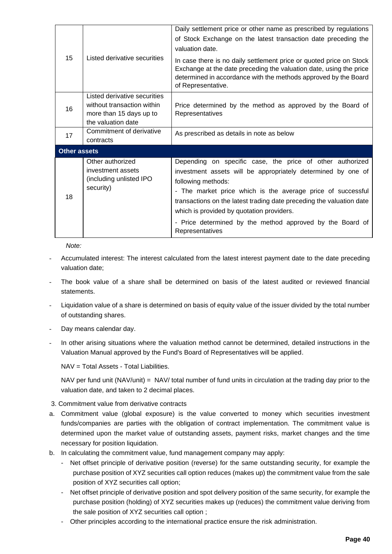| 15                  | Listed derivative securities                                                  | Daily settlement price or other name as prescribed by regulations<br>of Stock Exchange on the latest transaction date preceding the<br>valuation date.                                                                                                                                                                              |  |  |
|---------------------|-------------------------------------------------------------------------------|-------------------------------------------------------------------------------------------------------------------------------------------------------------------------------------------------------------------------------------------------------------------------------------------------------------------------------------|--|--|
|                     |                                                                               | In case there is no daily settlement price or quoted price on Stock<br>Exchange at the date preceding the valuation date, using the price<br>determined in accordance with the methods approved by the Board<br>of Representative.                                                                                                  |  |  |
| 16                  | Listed derivative securities<br>without transaction within                    | Price determined by the method as approved by the Board of                                                                                                                                                                                                                                                                          |  |  |
|                     | more than 15 days up to                                                       | Representatives                                                                                                                                                                                                                                                                                                                     |  |  |
|                     | the valuation date                                                            |                                                                                                                                                                                                                                                                                                                                     |  |  |
| 17                  | Commitment of derivative<br>contracts                                         | As prescribed as details in note as below                                                                                                                                                                                                                                                                                           |  |  |
| <b>Other assets</b> |                                                                               |                                                                                                                                                                                                                                                                                                                                     |  |  |
| 18                  | Other authorized<br>investment assets<br>(including unlisted IPO<br>security) | Depending on specific case, the price of other authorized<br>investment assets will be appropriately determined by one of<br>following methods:<br>- The market price which is the average price of successful<br>transactions on the latest trading date preceding the valuation date<br>which is provided by quotation providers. |  |  |
|                     |                                                                               | - Price determined by the method approved by the Board of<br>Representatives                                                                                                                                                                                                                                                        |  |  |

*Note:*

- Accumulated interest: The interest calculated from the latest interest payment date to the date preceding valuation date;
- The book value of a share shall be determined on basis of the latest audited or reviewed financial statements.
- Liquidation value of a share is determined on basis of equity value of the issuer divided by the total number of outstanding shares.
- Day means calendar day.
- In other arising situations where the valuation method cannot be determined, detailed instructions in the Valuation Manual approved by the Fund's Board of Representatives will be applied.

NAV = Total Assets - Total Liabilities.

NAV per fund unit (NAV/unit) = NAV/ total number of fund units in circulation at the trading day prior to the valuation date, and taken to 2 decimal places.

- 3. Commitment value from derivative contracts
- a. Commitment value (global exposure) is the value converted to money which securities investment funds/companies are parties with the obligation of contract implementation. The commitment value is determined upon the market value of outstanding assets, payment risks, market changes and the time necessary for position liquidation.
- b. In calculating the commitment value, fund management company may apply:
	- Net offset principle of derivative position (reverse) for the same outstanding security, for example the purchase position of XYZ securities call option reduces (makes up) the commitment value from the sale position of XYZ securities call option;
	- Net offset principle of derivative position and spot delivery position of the same security, for example the purchase position (holding) of XYZ securities makes up (reduces) the commitment value deriving from the sale position of XYZ securities call option ;
	- Other principles according to the international practice ensure the risk administration.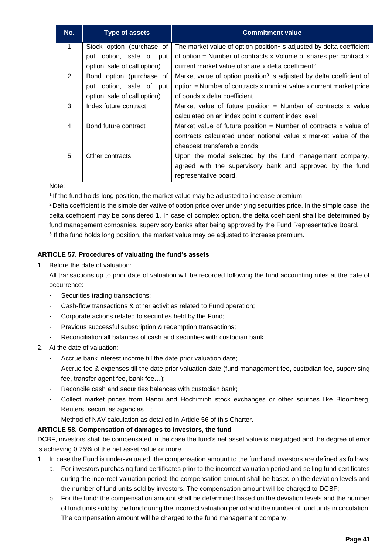| No.                     | <b>Type of assets</b>        | <b>Commitment value</b>                                                           |
|-------------------------|------------------------------|-----------------------------------------------------------------------------------|
| $\mathbf{1}$            | Stock option (purchase of    | The market value of option position <sup>1</sup> is adjusted by delta coefficient |
|                         | put option, sale of put      | of option = Number of contracts $x$ Volume of shares per contract $x$             |
|                         | option, sale of call option) | current market value of share x delta coefficient <sup>2</sup>                    |
| 2                       | Bond option (purchase of     | Market value of option position <sup>3</sup> is adjusted by delta coefficient of  |
|                         | put option, sale of put      | option = Number of contracts x nominal value x current market price               |
|                         | option, sale of call option) | of bonds x delta coefficient                                                      |
| 3                       | Index future contract        | Market value of future position = Number of contracts $x$ value                   |
|                         |                              | calculated on an index point x current index level                                |
| $\overline{\mathbf{4}}$ | Bond future contract         | Market value of future position = Number of contracts x value of                  |
|                         |                              | contracts calculated under notional value x market value of the                   |
|                         |                              | cheapest transferable bonds                                                       |
| 5                       | Other contracts              | Upon the model selected by the fund management company,                           |
|                         |                              | agreed with the supervisory bank and approved by the fund                         |
|                         |                              | representative board.                                                             |

Note:

<sup>1</sup> If the fund holds long position, the market value may be adjusted to increase premium.

<sup>2</sup> Delta coefficient is the simple derivative of option price over underlying securities price. In the simple case, the delta coefficient may be considered 1. In case of complex option, the delta coefficient shall be determined by fund management companies, supervisory banks after being approved by the Fund Representative Board.

 $^3$  If the fund holds long position, the market value may be adjusted to increase premium.

## **ARTICLE 57. Procedures of valuating the fund's assets**

1. Before the date of valuation:

All transactions up to prior date of valuation will be recorded following the fund accounting rules at the date of occurrence:

- Securities trading transactions;
- Cash-flow transactions & other activities related to Fund operation;
- Corporate actions related to securities held by the Fund;
- Previous successful subscription & redemption transactions;
- Reconciliation all balances of cash and securities with custodian bank.
- 2. At the date of valuation:
	- Accrue bank interest income till the date prior valuation date;
	- Accrue fee & expenses till the date prior valuation date (fund management fee, custodian fee, supervising fee, transfer agent fee, bank fee…);
	- Reconcile cash and securities balances with custodian bank;
	- Collect market prices from Hanoi and Hochiminh stock exchanges or other sources like Bloomberg, Reuters, securities agencies…;
	- Method of NAV calculation as detailed in Article 56 of this Charter.

#### **ARTICLE 58. Compensation of damages to investors, the fund**

DCBF, investors shall be compensated in the case the fund's net asset value is misjudged and the degree of error is achieving 0.75% of the net asset value or more.

- 1. In case the Fund is under-valuated, the compensation amount to the fund and investors are defined as follows:
	- a. For investors purchasing fund certificates prior to the incorrect valuation period and selling fund certificates during the incorrect valuation period: the compensation amount shall be based on the deviation levels and the number of fund units sold by investors. The compensation amount will be charged to DCBF;
	- b. For the fund: the compensation amount shall be determined based on the deviation levels and the number of fund units sold by the fund during the incorrect valuation period and the number of fund units in circulation. The compensation amount will be charged to the fund management company;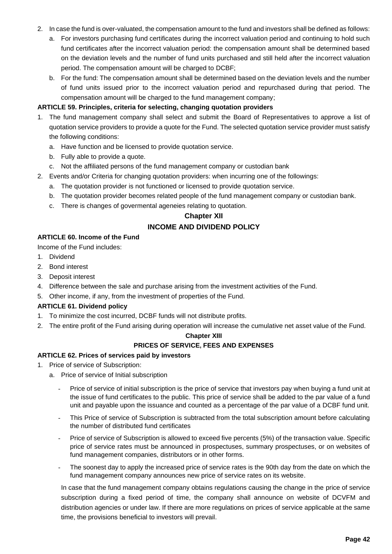- 2. In case the fund is over-valuated, the compensation amount to the fund and investors shall be defined as follows:
	- a. For investors purchasing fund certificates during the incorrect valuation period and continuing to hold such fund certificates after the incorrect valuation period: the compensation amount shall be determined based on the deviation levels and the number of fund units purchased and still held after the incorrect valuation period. The compensation amount will be charged to DCBF;
	- b. For the fund: The compensation amount shall be determined based on the deviation levels and the number of fund units issued prior to the incorrect valuation period and repurchased during that period. The compensation amount will be charged to the fund management company;

#### **ARTICLE 59. Principles, criteria for selecting, changing quotation providers**

- 1. The fund management company shall select and submit the Board of Representatives to approve a list of quotation service providers to provide a quote for the Fund. The selected quotation service provider must satisfy the following conditions:
	- a. Have function and be licensed to provide quotation service.
	- b. Fully able to provide a quote.
	- c. Not the affiliated persons of the fund management company or custodian bank
- 2. Events and/or Criteria for changing quotation providers: when incurring one of the followings:
	- a. The quotation provider is not functioned or licensed to provide quotation service.
	- b. The quotation provider becomes related people of the fund management company or custodian bank.
	- c. There is changes of govermental ageneies relating to quotation.

# **Chapter XII INCOME AND DIVIDEND POLICY**

#### **ARTICLE 60. Income of the Fund**

Income of the Fund includes:

- 1. Dividend
- 2. Bond interest
- 3. Deposit interest
- 4. Difference between the sale and purchase arising from the investment activities of the Fund.
- 5. Other income, if any, from the investment of properties of the Fund.

#### **ARTICLE 61. Dividend policy**

- 1. To minimize the cost incurred, DCBF funds will not distribute profits.
- 2. The entire profit of the Fund arising during operation will increase the cumulative net asset value of the Fund.

#### **Chapter XIII**

## **PRICES OF SERVICE, FEES AND EXPENSES**

#### **ARTICLE 62. Prices of services paid by investors**

- 1. Price of service of Subscription:
	- a. Price of service of Initial subscription
		- Price of service of initial subscription is the price of service that investors pay when buying a fund unit at the issue of fund certificates to the public. This price of service shall be added to the par value of a fund unit and payable upon the issuance and counted as a percentage of the par value of a DCBF fund unit.
		- This Price of service of Subscription is subtracted from the total subscription amount before calculating the number of distributed fund certificates
		- Price of service of Subscription is allowed to exceed five percents (5%) of the transaction value. Specific price of service rates must be announced in prospectuses, summary prospectuses, or on websites of fund management companies, distributors or in other forms.
		- The soonest day to apply the increased price of service rates is the 90th day from the date on which the fund management company announces new price of service rates on its website.

In case that the fund management company obtains regulations causing the change in the price of service subscription during a fixed period of time, the company shall announce on website of DCVFM and distribution agencies or under law. If there are more regulations on prices of service applicable at the same time, the provisions beneficial to investors will prevail.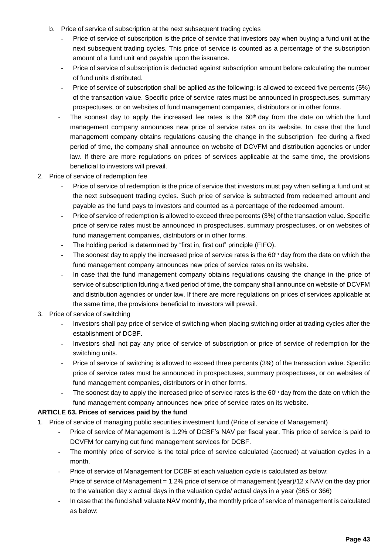- b. Price of service of subscription at the next subsequent trading cycles
	- Price of service of subscription is the price of service that investors pay when buying a fund unit at the next subsequent trading cycles. This price of service is counted as a percentage of the subscription amount of a fund unit and payable upon the issuance.
	- Price of service of subscription is deducted against subscription amount before calculating the number of fund units distributed.
	- Price of service of subscription shall be aplied as the following: is allowed to exceed five percents (5%) of the transaction value. Specific price of service rates must be announced in prospectuses, summary prospectuses, or on websites of fund management companies, distributors or in other forms.
	- The soonest day to apply the increased fee rates is the  $60<sup>th</sup>$  day from the date on which the fund management company announces new price of service rates on its website. In case that the fund management company obtains regulations causing the change in the subscription fee during a fixed period of time, the company shall announce on website of DCVFM and distribution agencies or under law. If there are more regulations on prices of services applicable at the same time, the provisions beneficial to investors will prevail.
- 2. Price of service of redemption fee
	- Price of service of redemption is the price of service that investors must pay when selling a fund unit at the next subsequent trading cycles. Such price of service is subtracted from redeemed amount and payable as the fund pays to investors and counted as a percentage of the redeemed amount.
	- Price of service of redemption is allowed to exceed three percents (3%) of the transaction value. Specific price of service rates must be announced in prospectuses, summary prospectuses, or on websites of fund management companies, distributors or in other forms.
	- The holding period is determined by "first in, first out" principle (FIFO).
	- The soonest day to apply the increased price of service rates is the 60<sup>th</sup> day from the date on which the fund management company announces new price of service rates on its website.
	- In case that the fund management company obtains regulations causing the change in the price of service of subscription fduring a fixed period of time, the company shall announce on website of DCVFM and distribution agencies or under law. If there are more regulations on prices of services applicable at the same time, the provisions beneficial to investors will prevail.
- 3. Price of service of switching
	- Investors shall pay price of service of switching when placing switching order at trading cycles after the establishment of DCBF.
	- Investors shall not pay any price of service of subscription or price of service of redemption for the switching units.
	- Price of service of switching is allowed to exceed three percents (3%) of the transaction value. Specific price of service rates must be announced in prospectuses, summary prospectuses, or on websites of fund management companies, distributors or in other forms.
	- The soonest day to apply the increased price of service rates is the 60<sup>th</sup> day from the date on which the fund management company announces new price of service rates on its website.

## **ARTICLE 63. Prices of services paid by the fund**

- 1. Price of service of managing public securities investment fund (Price of service of Management)
	- Price of service of Management is 1.2% of DCBF's NAV per fiscal year. This price of service is paid to DCVFM for carrying out fund management services for DCBF.
	- The monthly price of service is the total price of service calculated (accrued) at valuation cycles in a month.
	- Price of service of Management for DCBF at each valuation cycle is calculated as below: Price of service of Management = 1.2% price of service of management (year)/12 x NAV on the day prior to the valuation day x actual days in the valuation cycle/ actual days in a year (365 or 366)
	- In case that the fund shall valuate NAV monthly, the monthly price of service of management is calculated as below: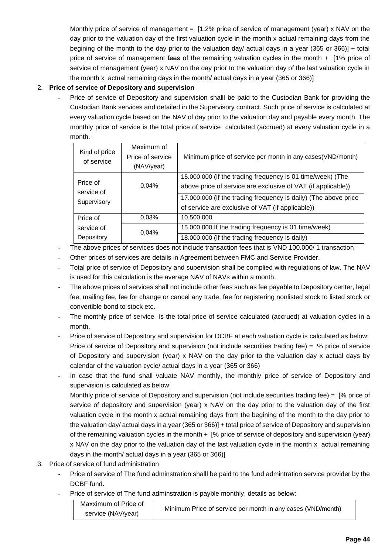Monthly price of service of management = [1.2% price of service of management (year) x NAV on the day prior to the valuation day of the first valuation cycle in the month x actual remaining days from the begining of the month to the day prior to the valuation day/ actual days in a year (365 or 366)] + total price of service of management fees of the remaining valuation cycles in the month + [1% price of service of management (year) x NAV on the day prior to the valuation day of the last valuation cycle in the month x actual remaining days in the month/ actual days in a year (365 or 366)]

## 2. **Price of service of Depository and supervision**

Price of service of Depository and supervision shalll be paid to the Custodian Bank for providing the Custodian Bank services and detailed in the Supervisory contract. Such price of service is calculated at every valuation cycle based on the NAV of day prior to the valuation day and payable every month. The monthly price of service is the total price of service calculated (accrued) at every valuation cycle in a month.

| Kind of price<br>of service           | Maximum of<br>Price of service<br>(NAV/year) | Minimum price of service per month in any cases (VND/month)                                                                                                                                                                                       |
|---------------------------------------|----------------------------------------------|---------------------------------------------------------------------------------------------------------------------------------------------------------------------------------------------------------------------------------------------------|
| Price of<br>service of<br>Supervisory | 0.04%                                        | 15.000.000 (If the trading frequency is 01 time/week) (The<br>above price of service are exclusive of VAT (if applicable))<br>17.000.000 (If the trading frequency is daily) (The above price<br>of service are exclusive of VAT (if applicable)) |
| Price of                              | 0.03%                                        | 10.500.000                                                                                                                                                                                                                                        |
| service of                            | 0.04%                                        | 15.000.000 If the trading frequency is 01 time/week)                                                                                                                                                                                              |
| Depository                            |                                              | 18.000.000 (If the trading frequency is daily)                                                                                                                                                                                                    |

- The above prices of services does not include transaction fees that is VND 100.000/ 1 transaction
- Other prices of services are details in Agreement between FMC and Service Provider.
- Total price of service of Depository and supervision shall be complied with regulations of law. The NAV is used for this calculation is the average NAV of NAVs within a month.
- The above prices of services shall not include other fees such as fee payable to Depository center, legal fee, mailing fee, fee for change or cancel any trade, fee for registering nonlisted stock to listed stock or convertible bond to stock etc.
- The monthly price of service is the total price of service calculated (accrued) at valuation cycles in a month.
- Price of service of Depository and supervision for DCBF at each valuation cycle is calculated as below: Price of service of Depository and supervision (not include securities trading fee) = % price of service of Depository and supervision (year) x NAV on the day prior to the valuation day x actual days by calendar of the valuation cycle/ actual days in a year (365 or 366)
- In case that the fund shall valuate NAV monthly, the monthly price of service of Depository and supervision is calculated as below:

Monthly price of service of Depository and supervision (not include securities trading fee) = [% price of service of depository and supervision (year) x NAV on the day prior to the valuation day of the first valuation cycle in the month x actual remaining days from the begining of the month to the day prior to the valuation day/ actual days in a year (365 or 366)] + total price of service of Depository and supervision of the remaining valuation cycles in the month + [% price of service of depository and supervision (year) x NAV on the day prior to the valuation day of the last valuation cycle in the month x actual remaining days in the month/ actual days in a year (365 or 366)]

- 3. Price of service of fund administration
	- Price of service of The fund adminstration shalll be paid to the fund admintration service provider by the DCBF fund.
	- Price of service of The fund adminstration is payble monthly, details as below:

| Maxximum of Price of | Minimum Price of service per month in any cases (VND/month) |
|----------------------|-------------------------------------------------------------|
| service (NAV/year)   |                                                             |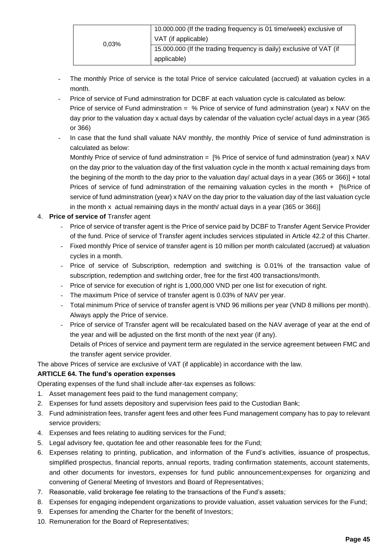|       | 10.000.000 (If the trading frequency is 01 time/week) exclusive of  |
|-------|---------------------------------------------------------------------|
| 0.03% | VAT (if applicable)                                                 |
|       | 15.000.000 (If the trading frequency is daily) exclusive of VAT (if |
|       | applicable)                                                         |

- The monthly Price of service is the total Price of service calculated (accrued) at valuation cycles in a month.
- Price of service of Fund adminstration for DCBF at each valuation cycle is calculated as below: Price of service of Fund adminstration = % Price of service of fund adminstration (year) x NAV on the day prior to the valuation day x actual days by calendar of the valuation cycle/ actual days in a year (365 or 366)
- In case that the fund shall valuate NAV monthly, the monthly Price of service of fund adminstration is calculated as below:

Monthly Price of service of fund adminstration = [% Price of service of fund adminstration (year) x NAV on the day prior to the valuation day of the first valuation cycle in the month x actual remaining days from the begining of the month to the day prior to the valuation day/ actual days in a year (365 or 366)] + total Prices of service of fund adminstration of the remaining valuation cycles in the month + [%Price of service of fund adminstration (year) x NAV on the day prior to the valuation day of the last valuation cycle in the month x actual remaining days in the month/ actual days in a year  $(365 \text{ or } 366)$ ]

## 4. **Price of service of** Transfer agent

- Price of service of transfer agent is the Price of service paid by DCBF to Transfer Agent Service Provider of the fund. Price of service of Transfer agent includes services stipulated in Article 42.2 of this Charter.
- Fixed monthly Price of service of transfer agent is 10 million per month calculated (accrued) at valuation cycles in a month.
- Price of service of Subscription, redemption and switching is 0.01% of the transaction value of subscription, redemption and switching order, free for the first 400 transactions/month.
- Price of service for execution of right is 1,000,000 VND per one list for execution of right.
- The maximum Price of service of transfer agent is 0.03% of NAV per year.
- Total minimum Price of service of transfer agent is VND 96 millions per year (VND 8 millions per month). Always apply the Price of service.
- Price of service of Transfer agent will be recalculated based on the NAV average of year at the end of the year and will be adjusted on the first month of the next year (if any). Details of Prices of service and payment term are regulated in the service agreement between FMC and the transfer agent service provider.

The above Prices of service are exclusive of VAT (if applicable) in accordance with the law.

## **ARTICLE 64. The fund's operation expenses**

Operating expenses of the fund shall include after-tax expenses as follows:

- 1. Asset management fees paid to the fund management company;
- 2. Expenses for fund assets depository and supervision fees paid to the Custodian Bank;
- 3. Fund administration fees, transfer agent fees and other fees Fund management company has to pay to relevant service providers;
- 4. Expenses and fees relating to auditing services for the Fund;
- 5. Legal advisory fee, quotation fee and other reasonable fees for the Fund;
- 6. Expenses relating to printing, publication, and information of the Fund's activities, issuance of prospectus, simplified prospectus, financial reports, annual reports, trading confirmation statements, account statements, and other documents for investors, expenses for fund public announcement;expenses for organizing and convening of General Meeting of Investors and Board of Representatives;
- 7. Reasonable, valid brokerage fee relating to the transactions of the Fund's assets;
- 8. Expenses for engaging independent organizations to provide valuation, asset valuation services for the Fund;
- 9. Expenses for amending the Charter for the benefit of Investors;
- 10. Remuneration for the Board of Representatives;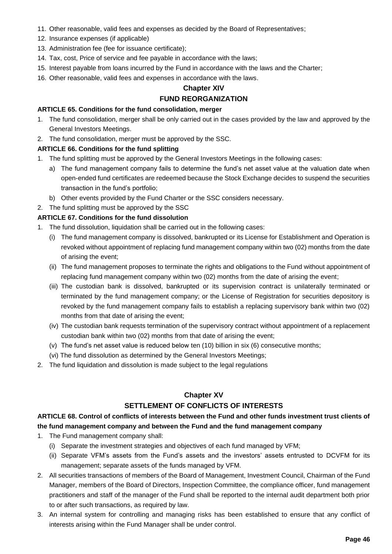- 11. Other reasonable, valid fees and expenses as decided by the Board of Representatives;
- 12. Insurance expenses (if applicable)
- 13. Administration fee (fee for issuance certificate);
- 14. Tax, cost, Price of service and fee payable in accordance with the laws;
- 15. Interest payable from loans incurred by the Fund in accordance with the laws and the Charter;
- 16. Other reasonable, valid fees and expenses in accordance with the laws.

## **Chapter XIV**

## **FUND REORGANIZATION**

#### **ARTICLE 65. Conditions for the fund consolidation, merger**

- 1. The fund consolidation, merger shall be only carried out in the cases provided by the law and approved by the General Investors Meetings.
- 2. The fund consolidation, merger must be approved by the SSC.

## **ARTICLE 66. Conditions for the fund splitting**

- 1. The fund splitting must be approved by the General Investors Meetings in the following cases:
	- a) The fund management company fails to determine the fund's net asset value at the valuation date when open-ended fund certificates are redeemed because the Stock Exchange decides to suspend the securities transaction in the fund's portfolio;
	- b) Other events provided by the Fund Charter or the SSC considers necessary.
- 2. The fund splitting must be approved by the SSC

## **ARTICLE 67. Conditions for the fund dissolution**

- 1. The fund dissolution, liquidation shall be carried out in the following cases:
	- (i) The fund management company is dissolved, bankrupted or its License for Establishment and Operation is revoked without appointment of replacing fund management company within two (02) months from the date of arising the event;
	- (ii) The fund management proposes to terminate the rights and obligations to the Fund without appointment of replacing fund management company within two (02) months from the date of arising the event;
	- (iii) The custodian bank is dissolved, bankrupted or its supervision contract is unilaterally terminated or terminated by the fund management company; or the License of Registration for securities depository is revoked by the fund management company fails to establish a replacing supervisory bank within two (02) months from that date of arising the event;
	- (iv) The custodian bank requests termination of the supervisory contract without appointment of a replacement custodian bank within two (02) months from that date of arising the event;
	- (v) The fund's net asset value is reduced below ten (10) billion in six (6) consecutive months;
	- (vi) The fund dissolution as determined by the General Investors Meetings;
- 2. The fund liquidation and dissolution is made subject to the legal regulations

## **Chapter XV**

## **SETTLEMENT OF CONFLICTS OF INTERESTS**

## **ARTICLE 68. Control of conflicts of interests between the Fund and other funds investment trust clients of the fund management company and between the Fund and the fund management company**

- 1. The Fund management company shall:
	- (i) Separate the investment strategies and objectives of each fund managed by VFM;
	- (ii) Separate VFM's assets from the Fund's assets and the investors' assets entrusted to DCVFM for its management; separate assets of the funds managed by VFM.
- 2. All securities transactions of members of the Board of Management, Investment Council, Chairman of the Fund Manager, members of the Board of Directors, Inspection Committee, the compliance officer, fund management practitioners and staff of the manager of the Fund shall be reported to the internal audit department both prior to or after such transactions, as required by law.
- 3. An internal system for controlling and managing risks has been established to ensure that any conflict of interests arising within the Fund Manager shall be under control.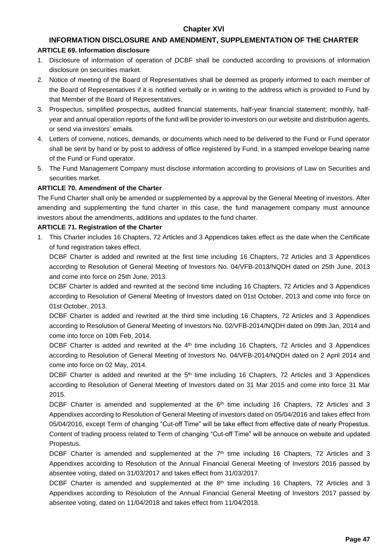## **Chapter XVI**

## **INFORMATION DISCLOSURE AND AMENDMENT, SUPPLEMENTATION OF THE CHARTER**

#### **ARTICLE 69. Information disclosure**

- 1. Disclosure of information of operation of DCBF shall be conducted according to provisions of information disclosure on securities market.
- 2. Notice of meeting of the Board of Representatives shall be deemed as properly informed to each member of the Board of Representatives if it is notified verbally or in writing to the address which is provided to Fund by that Member of the Board of Representatives.
- 3. Prospectus, simplified prospectus, audited financial statements, half-year financial statement; monthly, halfyear and annual operation reports of the fund will be provider to investors on our website and distribution agents, or send via investors' emails.
- 4. Letters of convene, notices, demands, or documents which need to be delivered to the Fund or Fund operator shall be sent by hand or by post to address of office registered by Fund, in a stamped envelope bearing name of the Fund or Fund operator.
- 5. The Fund Management Company must disclose information according to provisions of Law on Securities and securities market.

#### **ARTICLE 70. Amendment of the Charter**

The Fund Charter shall only be amended or supplemented by a approval by the General Meeting of investors. After amending and supplementing the fund charter in this case, the fund management company must announce investors about the amendments, additions and updates to the fund charter.

#### **ARTICLE 71. Registration of the Charter**

1. This Charter includes 16 Chapters, 72 Articles and 3 Appendices takes effect as the date when the Certificate of fund registration takes effect.

DCBF Charter is added and rewrited at the first time including 16 Chapters, 72 Articles and 3 Appendices according to Resolution of General Meeting of Investors No. 04/VFB-2013/NQDH dated on 25th June, 2013 and come into force on 25th June, 2013.

DCBF Charter is added and rewrited at the second time including 16 Chapters, 72 Articles and 3 Appendices according to Resolution of General Meeting of Investors dated on 01st October, 2013 and come into force on 01st October, 2013.

DCBF Charter is added and rewrited at the third time including 16 Chapters, 72 Articles and 3 Appendices according to Resolution of General Meeting of Investors No. 02/VFB-2014/NQDH dated on 09th Jan, 2014 and come into force on 10th Feb, 2014.

DCBF Charter is added and rewrited at the  $4<sup>th</sup>$  time including 16 Chapters, 72 Articles and 3 Appendices according to Resolution of General Meeting of Investors No. 04/VFB-2014/NQDH dated on 2 April 2014 and come into force on 02 May, 2014.

DCBF Charter is added and rewrited at the  $5<sup>th</sup>$  time including 16 Chapters, 72 Articles and 3 Appendices according to Resolution of General Meeting of Investors dated on 31 Mar 2015 and come into force 31 Mar 2015.

DCBF Charter is amended and supplemented at the  $6<sup>th</sup>$  time including 16 Chapters, 72 Articles and 3 Appendixes according to Resolution of General Meeting of investors dated on 05/04/2016 and takes effect from 05/04/2016, except Term of changing "Cut-off Time" will be take effect from effective date of nearly Propestus. Content of trading process related to Term of changing "Cut-off Time" will be annouce on website and updated Propestus.

DCBF Charter is amended and supplemented at the  $7<sup>th</sup>$  time including 16 Chapters, 72 Articles and 3 Appendixes according to Resolution of the Annual Financial General Meeting of Investors 2016 passed by absentee voting, dated on 31/03/2017 and takes effect from 31/03/2017.

DCBF Charter is amended and supplemented at the  $8<sup>th</sup>$  time including 16 Chapters, 72 Articles and 3 Appendixes according to Resolution of the Annual Financial General Meeting of Investors 2017 passed by absentee voting, dated on 11/04/2018 and takes effect from 11/04/2018.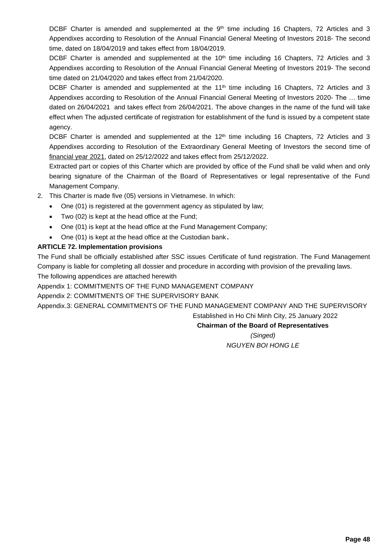DCBF Charter is amended and supplemented at the  $9<sup>th</sup>$  time including 16 Chapters, 72 Articles and 3 Appendixes according to Resolution of the Annual Financial General Meeting of Investors 2018- The second time, dated on 18/04/2019 and takes effect from 18/04/2019.

DCBF Charter is amended and supplemented at the 10<sup>th</sup> time including 16 Chapters, 72 Articles and 3 Appendixes according to Resolution of the Annual Financial General Meeting of Investors 2019- The second time dated on 21/04/2020 and takes effect from 21/04/2020.

DCBF Charter is amended and supplemented at the 11<sup>th</sup> time including 16 Chapters, 72 Articles and 3 Appendixes according to Resolution of the Annual Financial General Meeting of Investors 2020- The … time dated on 26/04/2021 and takes effect from 26/04/2021. The above changes in the name of the fund will take effect when The adjusted certificate of registration for establishment of the fund is issued by a competent state agency.

DCBF Charter is amended and supplemented at the 12<sup>th</sup> time including 16 Chapters, 72 Articles and 3 Appendixes according to Resolution of the Extraordinary General Meeting of Investors the second time of financial year 2021, dated on 25/12/2022 and takes effect from 25/12/2022.

Extracted part or copies of this Charter which are provided by office of the Fund shall be valid when and only bearing signature of the Chairman of the Board of Representatives or legal representative of the Fund Management Company.

- 2. This Charter is made five (05) versions in Vietnamese. In which:
	- One (01) is registered at the government agency as stipulated by law;
	- Two (02) is kept at the head office at the Fund;
	- One (01) is kept at the head office at the Fund Management Company;
	- One (01) is kept at the head office at the Custodian bank **.**

## **ARTICLE 72. Implementation provisions**

The Fund shall be officially established after SSC issues Certificate of fund registration. The Fund Management Company is liable for completing all dossier and procedure in according with provision of the prevailing laws. The following appendices are attached herewith

Appendix 1: COMMITMENTS OF THE FUND MANAGEMENT COMPANY

Appendix 2: COMMITMENTS OF THE SUPERVISORY BANK

Appendix.3: GENERAL COMMITMENTS OF THE FUND MANAGEMENT COMPANY AND THE SUPERVISORY

Established in Ho Chi Minh City, 25 January 2022

**Chairman of the Board of Representatives** 

*(Singed) NGUYEN BOI HONG LE*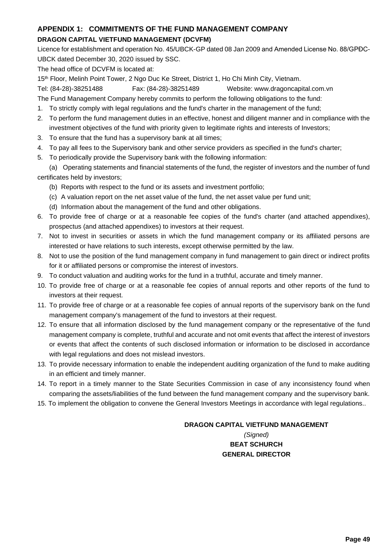## **APPENDIX 1: COMMITMENTS OF THE FUND MANAGEMENT COMPANY**

## **DRAGON CAPITAL VIETFUND MANAGEMENT (DCVFM)**

Licence for establishment and operation No. 45/UBCK-GP dated 08 Jan 2009 and Amended License No. 88/GPĐC-UBCK dated December 30, 2020 issued by SSC.

The head office of DCVFM is located at:

15<sup>th</sup> Floor, Melinh Point Tower, 2 Ngo Duc Ke Street, District 1, Ho Chi Minh City, Vietnam.

Tel: (84-28)-38251488 Fax: (84-28)-38251489 Website: www.dragoncapital.com.vn

The Fund Management Company hereby commits to perform the following obligations to the fund:

- 1. To strictly comply with legal regulations and the fund's charter in the management of the fund;
- 2. To perform the fund management duties in an effective, honest and diligent manner and in compliance with the investment objectives of the fund with priority given to legitimate rights and interests of Investors;
- 3. To ensure that the fund has a supervisory bank at all times;
- 4. To pay all fees to the Supervisory bank and other service providers as specified in the fund's charter;
- 5. To periodically provide the Supervisory bank with the following information:

(a) Operating statements and financial statements of the fund, the register of investors and the number of fund certificates held by investors;

- (b) Reports with respect to the fund or its assets and investment portfolio;
- (c) A valuation report on the net asset value of the fund, the net asset value per fund unit;
- (d) Information about the management of the fund and other obligations.
- 6. To provide free of charge or at a reasonable fee copies of the fund's charter (and attached appendixes), prospectus (and attached appendixes) to investors at their request.
- 7. Not to invest in securities or assets in which the fund management company or its affiliated persons are interested or have relations to such interests, except otherwise permitted by the law.
- 8. Not to use the position of the fund management company in fund management to gain direct or indirect profits for it or affiliated persons or compromise the interest of investors.
- 9. To conduct valuation and auditing works for the fund in a truthful, accurate and timely manner.
- 10. To provide free of charge or at a reasonable fee copies of annual reports and other reports of the fund to investors at their request.
- 11. To provide free of charge or at a reasonable fee copies of annual reports of the supervisory bank on the fund management company's management of the fund to investors at their request.
- 12. To ensure that all information disclosed by the fund management company or the representative of the fund management company is complete, truthful and accurate and not omit events that affect the interest of investors or events that affect the contents of such disclosed information or information to be disclosed in accordance with legal regulations and does not mislead investors.
- 13. To provide necessary information to enable the independent auditing organization of the fund to make auditing in an efficient and timely manner.
- 14. To report in a timely manner to the State Securities Commission in case of any inconsistency found when comparing the assets/liabilities of the fund between the fund management company and the supervisory bank.
- 15. To implement the obligation to convene the General Investors Meetings in accordance with legal regulations..

## **DRAGON CAPITAL VIETFUND MANAGEMENT**

*(Signed)* **BEAT SCHURCH GENERAL DIRECTOR**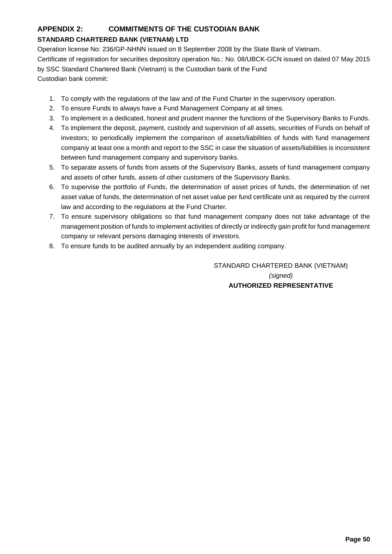## **APPENDIX 2: COMMITMENTS OF THE CUSTODIAN BANK**

## **STANDARD CHARTERED BANK (VIETNAM) LTD**

Operation license No: 236/GP-NHNN issued on 8 September 2008 by the State Bank of Vietnam. Certificate of registration for securities depository operation No.: No. 08/UBCK-GCN issued on dated 07 May 2015 by SSC Standard Chartered Bank (Vietnam) is the Custodian bank of the Fund Custodian bank commit:

- 1. To comply with the regulations of the law and of the Fund Charter in the supervisory operation.
- 2. To ensure Funds to always have a Fund Management Company at all times.
- 3. To implement in a dedicated, honest and prudent manner the functions of the Supervisory Banks to Funds.
- 4. To implement the deposit, payment, custody and supervision of all assets, securities of Funds on behalf of investors; to periodically implement the comparison of assets/liabilities of funds with fund management companiy at least one a month and report to the SSC in case the situation of assets/liabilities is inconsistent between fund management company and supervisory banks.
- 5. To separate assets of funds from assets of the Supervisory Banks, assets of fund management company and assets of other funds, assets of other customers of the Supervisory Banks.
- 6. To supervise the portfolio of Funds, the determination of asset prices of funds, the determination of net asset value of funds, the determination of net asset value per fund certificate unit as required by the current law and according to the regulations at the Fund Charter.
- 7. To ensure supervisory obligations so that fund management company does not take advantage of the management position of funds to implement activities of directly or indirectly gain profit for fund management company or relevant persons damaging interests of investors.
- 8. To ensure funds to be audited annually by an independent auditing company.

STANDARD CHARTERED BANK (VIETNAM) *(signed)* **AUTHORIZED REPRESENTATIVE**